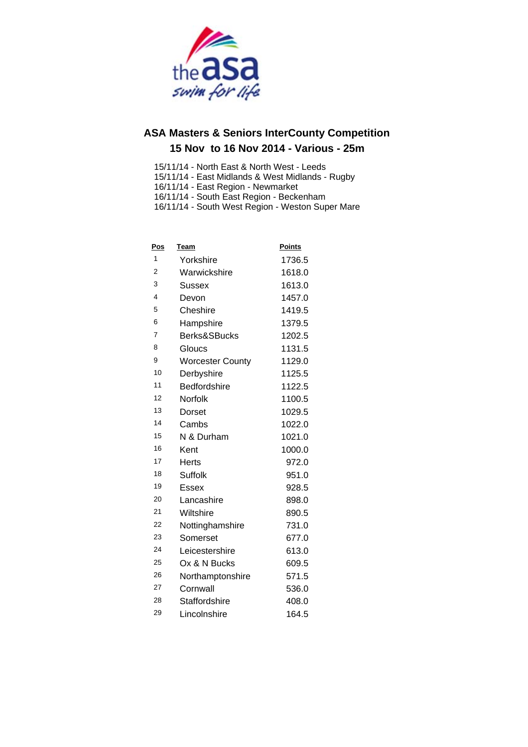

- 15/11/14 North East & North West Leeds
- 15/11/14 East Midlands & West Midlands Rugby
- 16/11/14 East Region Newmarket
- 16/11/14 South East Region Beckenham
- 16/11/14 South West Region Weston Super Mare

| Pos            | Team                    | Points |
|----------------|-------------------------|--------|
| 1              | Yorkshire               | 1736.5 |
| $\overline{2}$ | Warwickshire            | 1618.0 |
| 3              | <b>Sussex</b>           | 1613.0 |
| 4              | Devon                   | 1457.0 |
| 5              | Cheshire                | 1419.5 |
| 6              | Hampshire               | 1379.5 |
| $\overline{7}$ | Berks&SBucks            | 1202.5 |
| 8              | Gloucs                  | 1131.5 |
| 9              | <b>Worcester County</b> | 1129.0 |
| 10             | Derbyshire              | 1125.5 |
| 11             | <b>Bedfordshire</b>     | 1122.5 |
| 12             | Norfolk                 | 1100.5 |
| 13             | Dorset                  | 1029.5 |
| 14             | Cambs                   | 1022.0 |
| 15             | N & Durham              | 1021.0 |
| 16             | Kent                    | 1000.0 |
| 17             | Herts                   | 972.0  |
| 18             | Suffolk                 | 951.0  |
| 19             | Essex                   | 928.5  |
| 20             | Lancashire              | 898.0  |
| 21             | Wiltshire               | 890.5  |
| 22             | Nottinghamshire         | 731.0  |
| 23             | Somerset                | 677.0  |
| 24             | Leicestershire          | 613.0  |
| 25             | Ox & N Bucks            | 609.5  |
| 26             | Northamptonshire        | 571.5  |
| 27             | Cornwall                | 536.0  |
| 28             | <b>Staffordshire</b>    | 408.0  |
| 29             | Lincolnshire            | 164.5  |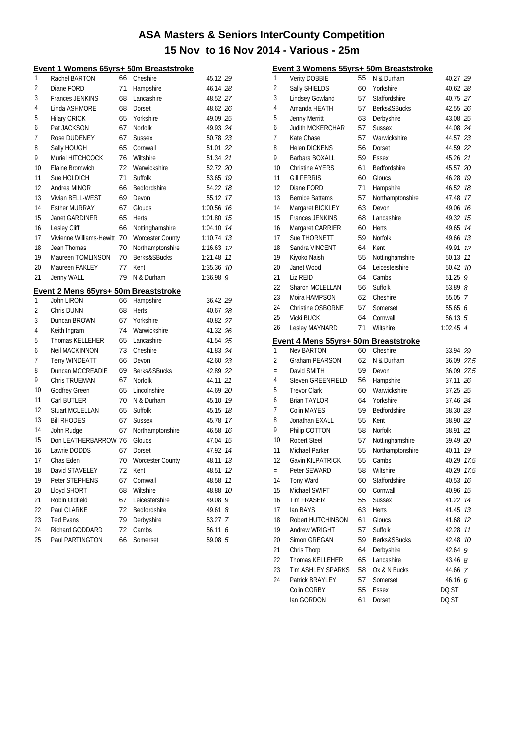| 1<br>Rachel BARTON<br>66<br>Cheshire<br>2<br>Diane FORD<br>71<br>Hampshire<br>3<br><b>Frances JENKINS</b><br>68<br>Lancashire<br>4<br>Linda ASHMORE<br>Dorset<br>68<br>5<br><b>Hilary CRICK</b><br>65<br>Yorkshire<br>6<br>Pat JACKSON<br>67<br>Norfolk<br>7<br>Rose DUDENEY<br>67<br><b>Sussex</b> | 45.12 29<br>46.14 28<br>48.52 27<br>48.62 26<br>49.09 25 |  |
|-----------------------------------------------------------------------------------------------------------------------------------------------------------------------------------------------------------------------------------------------------------------------------------------------------|----------------------------------------------------------|--|
|                                                                                                                                                                                                                                                                                                     |                                                          |  |
|                                                                                                                                                                                                                                                                                                     |                                                          |  |
|                                                                                                                                                                                                                                                                                                     |                                                          |  |
|                                                                                                                                                                                                                                                                                                     |                                                          |  |
|                                                                                                                                                                                                                                                                                                     |                                                          |  |
|                                                                                                                                                                                                                                                                                                     | 49.93 24                                                 |  |
|                                                                                                                                                                                                                                                                                                     | 50.78 23                                                 |  |
| 8<br>Sally HOUGH<br>65<br>Cornwall                                                                                                                                                                                                                                                                  | 51.01 22                                                 |  |
| 9<br>Muriel HITCHCOCK<br>76<br>Wiltshire                                                                                                                                                                                                                                                            | 51.34 21                                                 |  |
| 10<br>Elaine Bromwich<br>Warwickshire<br>72                                                                                                                                                                                                                                                         | 52.72 20                                                 |  |
| 11<br>Sue HOLDICH<br>71<br>Suffolk                                                                                                                                                                                                                                                                  | 53.65 19                                                 |  |
| 12<br>Bedfordshire<br>Andrea MINOR<br>66                                                                                                                                                                                                                                                            | 54.22 18                                                 |  |
| 13<br>Vivian BELL-WEST<br>69<br>Devon                                                                                                                                                                                                                                                               | 55.12 17                                                 |  |
| 14<br><b>Esther MURRAY</b><br>67<br>Gloucs                                                                                                                                                                                                                                                          | 1:00.56 76                                               |  |
| 15<br>Janet GARDINER<br>65<br>Herts                                                                                                                                                                                                                                                                 | 1:01.80 75                                               |  |
| 16<br>Lesley Cliff<br>66<br>Nottinghamshire                                                                                                                                                                                                                                                         | 1:04.10 74                                               |  |
| 17<br>Vivienne Williams-Hewitt<br>70<br><b>Worcester County</b>                                                                                                                                                                                                                                     | 1:10.74 73                                               |  |
| 18<br>Jean Thomas<br>70<br>Northamptonshire                                                                                                                                                                                                                                                         | 1:16.63 12                                               |  |
| 19<br>Maureen TOMLINSON<br><b>Berks&amp;SBucks</b><br>70                                                                                                                                                                                                                                            | 1:21.48 11                                               |  |
| 20<br>Maureen FAKLEY<br>77<br>Kent                                                                                                                                                                                                                                                                  | 1:35.36 70                                               |  |
| 21<br>Jenny WALL<br>79<br>N & Durham                                                                                                                                                                                                                                                                | $1:36.98$ 9                                              |  |
| Event 2 Mens 65yrs+ 50m Breaststroke                                                                                                                                                                                                                                                                |                                                          |  |
|                                                                                                                                                                                                                                                                                                     |                                                          |  |
| 1<br>John LIRON<br>Hampshire<br>66                                                                                                                                                                                                                                                                  | 36.42 29                                                 |  |
| 2<br>Chris DUNN<br>68<br><b>Herts</b>                                                                                                                                                                                                                                                               | 40.67 28                                                 |  |
| 3<br>Duncan BROWN<br>67<br>Yorkshire                                                                                                                                                                                                                                                                | 40.82 27                                                 |  |
| 4<br>74<br>Keith Ingram<br>Warwickshire                                                                                                                                                                                                                                                             | 41.32 26                                                 |  |
| 5<br>Thomas KELLEHER<br>65<br>Lancashire                                                                                                                                                                                                                                                            | 41.54 25                                                 |  |
| 73<br>6<br>Neil MACKINNON<br>Cheshire                                                                                                                                                                                                                                                               | 41.83 24                                                 |  |
| 7<br>Terry WINDEATT<br>66<br>Devon                                                                                                                                                                                                                                                                  | 42.60 23                                                 |  |
| 8<br>Duncan MCCREADIE<br>69<br>Berks&SBucks                                                                                                                                                                                                                                                         | 42.89 22                                                 |  |
| 9<br>67<br>Chris TRUEMAN<br><b>Norfolk</b>                                                                                                                                                                                                                                                          | 44.11 21                                                 |  |
| 10<br>65<br>Lincolnshire<br><b>Godfrey Green</b>                                                                                                                                                                                                                                                    | 44.69 20                                                 |  |
| 11<br>70<br>Carl BUTLER<br>N & Durham                                                                                                                                                                                                                                                               | 45.10 19                                                 |  |
| 12<br><b>Stuart MCLELLAN</b><br>65<br>Suffolk                                                                                                                                                                                                                                                       | 45.15 18                                                 |  |
| 13<br>67<br><b>Bill RHODES</b><br><b>Sussex</b>                                                                                                                                                                                                                                                     | 45.78 17                                                 |  |
| 14<br>John Rudge<br>67<br>Northamptonshire                                                                                                                                                                                                                                                          | 46.58 16                                                 |  |
| 15<br>Don LEATHERBARROW 76<br>Gloucs                                                                                                                                                                                                                                                                | 15<br>47.04                                              |  |
| 16<br>Lawrie DODDS<br>67<br>Dorset                                                                                                                                                                                                                                                                  | 47.92 14                                                 |  |
| 70<br>17<br>Chas Eden                                                                                                                                                                                                                                                                               | 48.11 13                                                 |  |
| Worcester County<br>18<br>David STAVELEY<br>72<br>Kent                                                                                                                                                                                                                                              | 48.51<br>12                                              |  |
| 19<br>67                                                                                                                                                                                                                                                                                            | 48.58<br>11                                              |  |
| Peter STEPHENS<br>Cornwall<br>20<br>Lloyd SHORT<br>68<br>Wiltshire                                                                                                                                                                                                                                  | 48.88<br>10                                              |  |
| 21<br>Robin Oldfield<br>67<br>Leicestershire                                                                                                                                                                                                                                                        | 49.08<br>9                                               |  |
| 22<br>Paul CLARKE<br>Bedfordshire<br>72                                                                                                                                                                                                                                                             | 49.61<br>8                                               |  |
| 23<br>79<br><b>Ted Evans</b>                                                                                                                                                                                                                                                                        | 53.27<br>7                                               |  |
| Derbyshire<br>24<br>Cambs<br>Richard GODDARD<br>72                                                                                                                                                                                                                                                  | 56.11<br>6                                               |  |

|     | <u>Event 3 Womens 55yrs+ 50m Breaststroke</u>             |          |                   |                  |    |
|-----|-----------------------------------------------------------|----------|-------------------|------------------|----|
| 1   | <b>Verity DOBBIE</b>                                      | 55       | N & Durham        | 40.27 29         |    |
| 2   | Sally SHIELDS                                             | 60       | Yorkshire         | 40.62 28         |    |
| 3   | Lindsey Gowland                                           | 57       | Staffordshire     | 40.75 27         |    |
| 4   | Amanda HEATH                                              | 57       | Berks&SBucks      | 42.55 26         |    |
| 5   | <b>Jenny Merritt</b>                                      | 63       | Derbyshire        | 43.08 25         |    |
| 6   | <b>Judith MCKERCHAR</b>                                   | 57       | <b>Sussex</b>     | 44.08 24         |    |
| 7   | Kate Chase                                                | 57       | Warwickshire      | 44.57 23         |    |
| 8   | <b>Helen DICKENS</b>                                      | 56       | Dorset            | 44.59 22         |    |
| 9   | Barbara BOXALL                                            | 59       | Essex             | 45.26 21         |    |
| 10  | <b>Christine AYERS</b>                                    | 61       | Bedfordshire      | 45.57 20         |    |
| 11  | <b>Gill FERRIS</b>                                        | 60       | Gloucs            | 46.28 19         |    |
| 12  | Diane FORD                                                | 71       | Hampshire         | 46.52 18         |    |
| 13  | <b>Bernice Battams</b>                                    | 57       | Northamptonshire  | 47.48 17         |    |
| 14  | Margaret BICKLEY                                          | 63       | Devon             | 49.06 16         |    |
| 15  | Frances JENKINS                                           | 68       | Lancashire        | 49.32 15         |    |
| 16  | Margaret CARRIER                                          | 60       | Herts             | 49.65 14         |    |
| 17  | Sue THORNETT                                              | 59       | Norfolk           | 49.66 73         |    |
| 18  | Sandra VINCENT                                            | 64       | Kent              | 49.91 12         |    |
| 19  | Kiyoko Naish                                              | 55       | Nottinghamshire   | 50.13 11         |    |
| 20  | Janet Wood                                                | 64       | Leicestershire    | 50.42 10         |    |
| 21  | Liz REID                                                  | 64       | Cambs             | 51.25 9          |    |
| 22  | Sharon MCLELLAN                                           | 56       | Suffolk           | 53.89 8          |    |
| 23  | Moira HAMPSON                                             | 62       | Cheshire          | 55.05 7          |    |
| 24  | Christine OSBORNE                                         | 57       | Somerset          | 55.65 $6$        |    |
| 25  | Vicki BUCK                                                | 64       | Cornwall          | 56.13 $5$        |    |
| 26  | Lesley MAYNARD                                            | 71       | Wiltshire         | $1:02.45$ 4      |    |
|     |                                                           |          |                   |                  |    |
| 1   | Event 4 Mens 55yrs+ 50m Breaststroke<br><b>Nev BARTON</b> | 60       | Cheshire          | 33.94 29         |    |
| 2   | <b>Graham PEARSON</b>                                     | 62       | N & Durham        | 36.09 27.5       |    |
| $=$ | David SMITH                                               | 59       | Devon             | 36.09 27.5       |    |
| 4   | <b>Steven GREENFIELD</b>                                  | 56       | Hampshire         | 37.11 26         |    |
| 5   | <b>Trevor Clark</b>                                       | 60       | Warwickshire      | 37.25 25         |    |
| 6   | <b>Brian TAYLOR</b>                                       | 64       | Yorkshire         | 37.46 24         |    |
| 7   | Colin MAYES                                               | 59       | Bedfordshire      | 38.30 23         |    |
| 8   | Jonathan EXALL                                            | 55       | Kent              | 38.90 22         |    |
| 9   | Philip COTTON                                             | 58       | Norfolk           | 38.91 21         |    |
| 10  | <b>Robert Steel</b>                                       | 57       | Nottinghamshire   | 39.49 20         |    |
| 11  | Michael Parker                                            | 55       | Northamptonshire  | 40.11 19         |    |
| 12  | Gavin KILPATRICK                                          | 55       | Cambs             | 40.29 17.5       |    |
| $=$ | Peter SEWARD                                              | 58       | Wiltshire         | 40.29 17.5       |    |
| 14  | Tony Ward                                                 | 60       | Staffordshire     | 40.53            | 16 |
| 15  | Michael SWIFT                                             | 60       | Cornwall          | 40.96 75         |    |
| 16  | <b>Tim FRASER</b>                                         | 55       | <b>Sussex</b>     | 41.22 14         |    |
| 17  | lan BAYS                                                  | 63       | Herts             | 41.45 73         |    |
| 18  | Robert HUTCHINSON                                         | 61       | Gloucs            | 41.68 12         |    |
| 19  | Andrew WRIGHT                                             | 57       | Suffolk           | 42.28 11         |    |
| 20  | Simon GREGAN                                              | 59       | Berks&SBucks      | 42.48 10         |    |
| 21  | Chris Thorp                                               | 64       | Derbyshire        | $42.64$ 9        |    |
| 22  | Thomas KELLEHER                                           | 65       | Lancashire        | 43.46 $8$        |    |
|     |                                                           |          |                   |                  |    |
|     |                                                           |          |                   |                  |    |
| 23  | <b>Tim ASHLEY SPARKS</b>                                  | 58       | Ox & N Bucks      | 44.66 7          |    |
| 24  | Patrick BRAYLEY<br>Colin CORBY                            | 57<br>55 | Somerset<br>Essex | 46.16 6<br>DQ ST |    |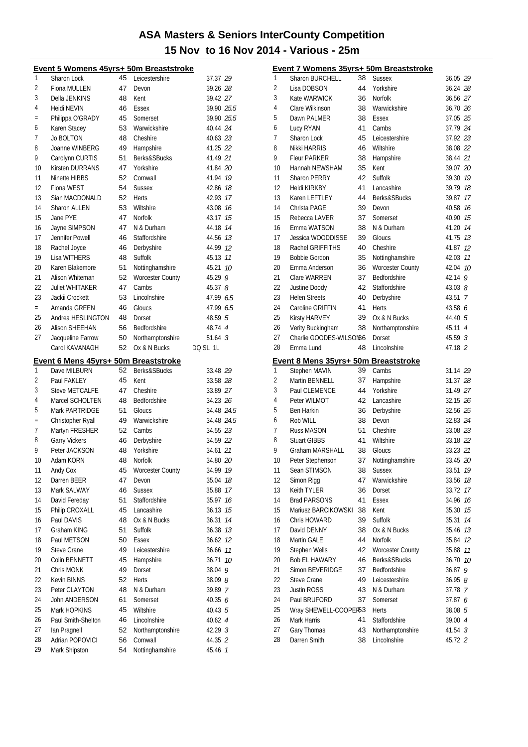| Event 5 Womens 45yrs+ 50m Breaststroke |                                      |          |                             |                    |    |  |
|----------------------------------------|--------------------------------------|----------|-----------------------------|--------------------|----|--|
| 1                                      | Sharon Lock                          | 45       | Leicestershire              | 37.37 29           |    |  |
| 2                                      | Fiona MULLEN                         | 47       | Devon                       | 39.26 28           |    |  |
| 3                                      | Della JENKINS                        | 48       | Kent                        | 39.42 27           |    |  |
| 4                                      | Heidi NEVIN                          | 46       | Essex                       | 39.90 25.5         |    |  |
| $=$                                    | Philippa O'GRADY                     | 45       | Somerset                    | 39.90 25.5         |    |  |
| 6                                      | Karen Stacey                         | 53       | Warwickshire                | 40.44 24           |    |  |
| 7                                      | <b>Jo BOLTON</b>                     | 48       | Cheshire                    | 40.63 23           |    |  |
| 8                                      | Joanne WINBERG                       | 49       | Hampshire                   | 41.25 22           |    |  |
| 9                                      | Carolynn CURTIS                      | 51       | Berks&SBucks                | 41.49 21           |    |  |
| 10                                     | <b>Kirsten DURRANS</b>               | 47       | Yorkshire                   | 41.84 20           |    |  |
| 11                                     | Ninette HIBBS                        | 52       | Cornwall                    | 41.94 19           |    |  |
| 12                                     | Fiona WEST                           | 54       | <b>Sussex</b>               | 42.86              | 18 |  |
| 13                                     | Sian MACDONALD                       | 52       | Herts                       | 42.93 17           |    |  |
| 14                                     | <b>Sharon ALLEN</b>                  | 53       | Wiltshire                   | 43.08 16           |    |  |
| 15                                     | Jane PYE                             | 47       | <b>Norfolk</b>              | 43.17 15           |    |  |
| 16                                     | Jayne SIMPSON                        | 47       | N & Durham                  | 44.18              | 14 |  |
| 17                                     | Jennifer Powell                      | 46       | Staffordshire               | 44.56 73           |    |  |
| 18                                     | Rachel Joyce                         | 46       | Derbyshire                  | 44.99 12           |    |  |
| 19                                     | <b>Lisa WITHERS</b>                  | 48       | Suffolk                     | 45.13              | 11 |  |
| 20                                     | Karen Blakemore                      | 51       | Nottinghamshire             | 45.21              | 10 |  |
| 21                                     | Alison Whiteman                      | 52       | Worcester County            | 45.29 9            |    |  |
| 22                                     | <b>Juliet WHITAKER</b>               | 47       | Cambs                       | 45.37 $8$          |    |  |
| 23                                     | Jackii Crockett                      | 53       | Lincolnshire                | 47.99 6.5          |    |  |
| $=$                                    | Amanda GREEN                         | 46       | Gloucs                      | 47.99 6.5          |    |  |
| 25                                     | Andrea HESLINGTON                    | 48       | Dorset                      | 48.59 5            |    |  |
| 26                                     | <b>Alison SHEEHAN</b>                | 56       | Bedfordshire                | 48.74 4            |    |  |
| 27                                     | Jacqueline Farrow                    | 50       | Northamptonshire            | $51.64 \text{ } 3$ |    |  |
|                                        | Carol KAVANAGH                       | 52       | Ox & N Bucks                | DQ SL 1L           |    |  |
|                                        |                                      |          |                             |                    |    |  |
|                                        |                                      |          |                             |                    |    |  |
|                                        | Event 6 Mens 45yrs+ 50m Breaststroke |          |                             |                    |    |  |
| 1                                      | Dave MILBURN                         | 52       | Berks&SBucks                | 33.48 29           |    |  |
| 2                                      | Paul FAKLEY                          | 45       | Kent                        | 33.58 28           |    |  |
| 3                                      | <b>Steve METCALFE</b>                | 47       | Cheshire                    | 33.89 27           |    |  |
| 4                                      | Marcel SCHOLTEN                      | 48       | Bedfordshire                | 34.23 26           |    |  |
| 5                                      | Mark PARTRIDGE                       | 51       | Gloucs                      | 34.48 24.5         |    |  |
| $=$                                    | Christopher Ryall                    | 49       | Warwickshire                | 34.48 24.5         |    |  |
| 7                                      | Martyn FRESHER                       | 52       | Cambs                       | 34.55 23           |    |  |
| 8                                      | Garry Vickers                        | 46       | Derbyshire                  | 34.59 22           |    |  |
| 9                                      | Peter JACKSON                        | 48       | Yorkshire                   | 34.61 21           |    |  |
| 10                                     | Adam KORN                            | 48       | Norfolk                     | 34.80 20           |    |  |
| 11                                     | Andy Cox                             | 45       | <b>Worcester County</b>     | 34.99              | 19 |  |
| 12                                     | Darren BEER                          | 47       | Devon                       | 35.04              | 18 |  |
| 13                                     | Mark SALWAY                          | 46       | <b>Sussex</b>               | 35.88              | 17 |  |
| 14                                     | David Fereday                        | 51       | Staffordshire               | 35.97              | 16 |  |
| 15                                     | Philip CROXALL                       | 45       | Lancashire                  | 36.13              | 15 |  |
| 16                                     | Paul DAVIS                           | 48       | Ox & N Bucks                | 36.31              | 14 |  |
| 17                                     | Graham KING                          | 51       | <b>Suffolk</b>              | 36.38 73           |    |  |
| 18                                     | Paul METSON                          | 50       | <b>Essex</b>                | 36.62 12           |    |  |
| 19                                     | <b>Steve Crane</b>                   | 49       | Leicestershire              | 36.66 77           |    |  |
| 20                                     | Colin BENNETT                        | 45       | Hampshire                   | 36.71              | 10 |  |
| 21                                     | Chris MONK                           | 49       | Dorset                      | 38.04 9            |    |  |
| 22                                     | Kevin BINNS                          | 52       | <b>Herts</b>                | 38.098             |    |  |
| 23                                     | Peter CLAYTON                        | 48       | N & Durham                  | 39.89 7            |    |  |
| 24                                     | John ANDERSON                        | 61       | Somerset                    | 40.35 6            |    |  |
| 25                                     | Mark HOPKINS                         | 45       | Wiltshire                   | 40.43 5            |    |  |
| 26                                     | Paul Smith-Shelton                   | 46       | Lincolnshire                | 40.62 4            |    |  |
| 27                                     | Ian Pragnell                         | 52       | Northamptonshire            | 42.29 3            |    |  |
| 28<br>29                               | Adrian POPOVICI<br>Mark Shipston     | 56<br>54 | Cornwall<br>Nottinghamshire | 44.35 2<br>45.46 7 |    |  |

| Event 7 Womens 35yrs+ 50m Breaststroke |                                      |    |                         |                    |    |  |  |
|----------------------------------------|--------------------------------------|----|-------------------------|--------------------|----|--|--|
| 1                                      | Sharon BURCHELL                      | 38 | <b>Sussex</b>           | 36.05 29           |    |  |  |
| 2                                      |                                      | 44 |                         |                    |    |  |  |
| 3                                      | Lisa DOBSON                          |    | Yorkshire               | 36.24 28           |    |  |  |
|                                        | Kate WARWICK                         | 36 | <b>Norfolk</b>          | 36.56 27           |    |  |  |
| 4                                      | Clare Wilkinson                      | 38 | Warwickshire            | 36.70 26           |    |  |  |
| 5                                      | Dawn PALMER                          | 38 | Essex                   | 37.05 25           |    |  |  |
| 6                                      | Lucy RYAN                            | 41 | Cambs                   | 37.79 24           |    |  |  |
| 7                                      | Sharon Lock                          | 45 | Leicestershire          | 37.92 23           |    |  |  |
| 8                                      | Nikki HARRIS                         | 46 | Wiltshire               | 38.08 22           |    |  |  |
| 9                                      | <b>Fleur PARKER</b>                  | 38 | Hampshire               | 38.44 21           |    |  |  |
| 10                                     | Hannah NEWSHAM                       | 35 | Kent                    | 39.07 20           |    |  |  |
| 11                                     | <b>Sharon PERRY</b>                  | 42 | Suffolk                 | 39.30 19           |    |  |  |
| 12                                     | Heidi KIRKBY                         | 41 | Lancashire              | 39.79 18           |    |  |  |
| 13                                     | Karen LEFTLEY                        | 44 | Berks&SBucks            | 39.87              | 17 |  |  |
| 14                                     | Christa PAGE                         | 39 | Devon                   | 40.58 16           |    |  |  |
| 15                                     | Rebecca LAVER                        | 37 | Somerset                | 40.90 15           |    |  |  |
| 16                                     | Emma WATSON                          | 38 | N & Durham              | 41.20 14           |    |  |  |
| 17                                     | Jessica WOODDISSE                    | 39 | Gloucs                  | 41.75 13           |    |  |  |
| 18                                     | Rachel GRIFFITHS                     | 40 | Cheshire                | 41.87              | 12 |  |  |
| 19                                     | <b>Bobbie Gordon</b>                 | 35 | Nottinghamshire         | 42.03 11           |    |  |  |
| 20                                     | Emma Anderson                        | 36 | <b>Worcester County</b> | 42.04 10           |    |  |  |
| 21                                     | Clare WARREN                         | 37 | <b>Bedfordshire</b>     | 42.14 9            |    |  |  |
| 22                                     | Justine Doody                        | 42 | Staffordshire           | 43.03 $8$          |    |  |  |
| 23                                     | <b>Helen Streets</b>                 | 40 | Derbyshire              | 43.51 7            |    |  |  |
| 24                                     | Caroline GRIFFIN                     | 41 | <b>Herts</b>            | 43.58 6            |    |  |  |
| 25                                     | Kirsty HARVEY                        | 39 | Ox & N Bucks            | 44.40 5            |    |  |  |
| 26                                     | Verity Buckingham                    | 38 | Northamptonshire        | 45.11 4            |    |  |  |
| 27                                     | Charlie GOODES-WILSON86              |    | Dorset                  | 45.59 <sup>3</sup> |    |  |  |
| 28                                     | Emma Lund                            | 48 | Lincolnshire            | 47.18 2            |    |  |  |
|                                        |                                      |    |                         |                    |    |  |  |
|                                        |                                      |    |                         |                    |    |  |  |
|                                        | Event 8 Mens 35yrs+ 50m Breaststroke |    |                         |                    |    |  |  |
| 1                                      | Stephen MAVIN                        | 39 | Cambs                   | 31.14 29           |    |  |  |
| 2                                      | Martin BENNELL                       | 37 | Hampshire               | 31.37 28           |    |  |  |
| 3                                      | Paul CLEMENCE                        | 44 | Yorkshire               | 31.49 27           |    |  |  |
| 4                                      | Peter WILMOT                         | 42 | Lancashire              | 32.15 26           |    |  |  |
| 5                                      | Ben Harkin                           | 36 | Derbyshire              | 32.56 25           |    |  |  |
| 6                                      | Rob WILL                             | 38 | Devon                   | 32.83 24           |    |  |  |
| 7                                      | <b>Russ MASON</b>                    | 51 | Cheshire                | 33.08 23           |    |  |  |
| 8                                      | <b>Stuart GIBBS</b>                  | 41 | Wiltshire               | 33.18 22           |    |  |  |
| 9                                      | Graham MARSHALL                      | 38 | Gloucs                  | 33.23 21           |    |  |  |
| 10                                     | Peter Stephenson                     | 37 | Nottinghamshire         | 33.45 20           |    |  |  |
| 11                                     | Sean STIMSON                         | 38 | <b>Sussex</b>           | 33.51              | 19 |  |  |
| 12                                     | Simon Rigg                           | 47 | Warwickshire            | 33.56              | 18 |  |  |
| 13                                     | Keith TYLER                          | 36 | Dorset                  | 33.72              | 17 |  |  |
| 14                                     | <b>Brad PARSONS</b>                  | 41 | Essex                   | 34.96              | 16 |  |  |
| 15                                     | Mariusz BARCIKOWSKI                  | 38 | Kent                    | 35.30              | 15 |  |  |
| 16                                     | Chris HOWARD                         | 39 | Suffolk                 | 35.31              | 14 |  |  |
| 17                                     | David DENNY                          | 38 | Ox & N Bucks            | 35.46              | 13 |  |  |
| 18                                     | Martin GALE                          | 44 | Norfolk                 | 35.84              | 12 |  |  |
| 19                                     | Stephen Wells                        | 42 | <b>Worcester County</b> | 35.88              | 11 |  |  |
| 20                                     | Bob EL HAWARY                        | 46 | Berks&SBucks            | 36.70              | 10 |  |  |
| 21                                     | Simon BEVERIDGE                      | 37 | Bedfordshire            | 36.87              | 9  |  |  |
| 22                                     | <b>Steve Crane</b>                   | 49 | Leicestershire          | 36.958             |    |  |  |
| 23                                     | Justin ROSS                          | 43 | N & Durham              | 37.78 7            |    |  |  |
| 24                                     | Paul BRUFORD                         | 37 | Somerset                | 37.87 6            |    |  |  |
| 25                                     | Wray SHEWELL-COOPER53                |    | <b>Herts</b>            | 38.08 5            |    |  |  |
| 26                                     | Mark Harris                          | 41 | Staffordshire           | 39.00 4            |    |  |  |
| 27                                     | Gary Thomas                          | 43 | Northamptonshire        | $41.54$ 3          |    |  |  |
| 28                                     | Darren Smith                         | 38 | Lincolnshire            | 45.72 2            |    |  |  |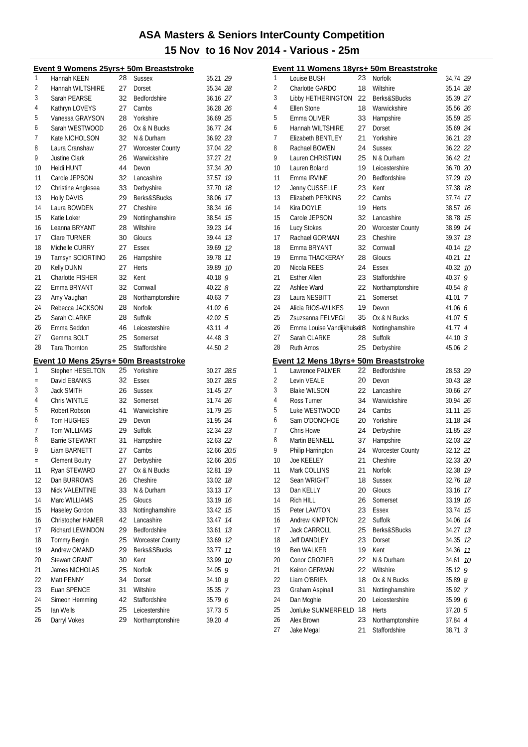|          | Event 9 Womens 25yrs+ 50m Breaststroke |          |                                         |             |    |  |  |  |
|----------|----------------------------------------|----------|-----------------------------------------|-------------|----|--|--|--|
| 1        | Hannah KEEN                            | 28       | <b>Sussex</b>                           | 35.21 29    |    |  |  |  |
| 2        | Hannah WILTSHIRE                       | 27       | Dorset                                  | 35.34 28    |    |  |  |  |
| 3        | Sarah PEARSE                           | 32       | Bedfordshire                            | 36.16 27    |    |  |  |  |
| 4        | Kathryn LOVEYS                         | 27       | Cambs                                   | 36.28 26    |    |  |  |  |
| 5        | Vanessa GRAYSON                        | 28       | Yorkshire                               | 36.69 25    |    |  |  |  |
| 6        | Sarah WESTWOOD                         | 26       | Ox & N Bucks                            | 36.77 24    |    |  |  |  |
| 7        | Kate NICHOLSON                         | 32       | N & Durham                              | 36.92 23    |    |  |  |  |
| 8        | Laura Cranshaw                         | 27       | <b>Worcester County</b>                 | 37.04 22    |    |  |  |  |
| 9        | Justine Clark                          | 26       | Warwickshire                            | 37.27 21    |    |  |  |  |
| 10       | <b>Heidi HUNT</b>                      | 44       | Devon                                   | 37.34 20    |    |  |  |  |
| 11       | Carole JEPSON                          | 32       | Lancashire                              | 37.57 19    |    |  |  |  |
| 12       | Christine Anglesea                     | 33       | Derbyshire                              | 37.70 18    |    |  |  |  |
| 13       | <b>Holly DAVIS</b>                     | 29       | Berks&SBucks                            | 38.06 17    |    |  |  |  |
| 14       | Laura BOWDEN                           | 27       | Cheshire                                | 38.34 16    |    |  |  |  |
| 15       | Katie Loker                            | 29       | Nottinghamshire                         | 38.54       | 15 |  |  |  |
| 16       | Leanna BRYANT                          | 28       | Wiltshire                               | 39.23 14    |    |  |  |  |
| 17       | Clare TURNER                           | 30       | Gloucs                                  | 39.44       | 13 |  |  |  |
| 18       | Michelle CURRY                         | 27       | Essex                                   | 39.69       | 12 |  |  |  |
| 19       | Tamsyn SCIORTINO                       | 26       | Hampshire                               | 39.78       | 11 |  |  |  |
| 20       | Kelly DUNN                             | 27       | Herts                                   | 39.89       | 10 |  |  |  |
| 21       | <b>Charlotte FISHER</b>                | 32       | Kent                                    | 40.18 9     |    |  |  |  |
| 22       | Emma BRYANT                            | 32       | Cornwall                                | $40.22$ $8$ |    |  |  |  |
| 23       | Amy Vaughan                            | 28       | Northamptonshire                        | 40.63 7     |    |  |  |  |
| 24       | Rebecca JACKSON                        | 28       | <b>Norfolk</b>                          | 41.02 $6$   |    |  |  |  |
| 25       | Sarah CLARKE                           | 28       | Suffolk                                 | 42.02 5     |    |  |  |  |
| 26       | Emma Seddon                            | 46       | Leicestershire                          | 43.11 4     |    |  |  |  |
| 27       | Gemma BOLT                             | 25       | Somerset                                | 44.48 3     |    |  |  |  |
| 28       | Tara Thornton                          | 25       | Staffordshire                           | 44.50 2     |    |  |  |  |
|          | Event 10 Mens 25yrs+ 50m Breaststroke  |          |                                         |             |    |  |  |  |
| 1        | Stephen HESELTON                       | 25       | Yorkshire                               | 30.27 28.5  |    |  |  |  |
| $=$      | David EBANKS                           | 32       | Essex                                   | 30.27 28.5  |    |  |  |  |
| 3        | <b>Jack SMITH</b>                      | 26       | <b>Sussex</b>                           | 31.45 27    |    |  |  |  |
| 4        | Chris WINTLE                           | 32       | Somerset                                | 31.74 26    |    |  |  |  |
| 5        | Robert Robson                          | 41       | Warwickshire                            | 31.79 25    |    |  |  |  |
| 6        | <b>Tom HUGHES</b>                      | 29       | Devon                                   | 31.95 24    |    |  |  |  |
| 7        | <b>Tom WILLIAMS</b>                    | 29       | Suffolk                                 | 32.34 23    |    |  |  |  |
| 8        | <b>Barrie STEWART</b>                  | 31       | Hampshire                               | 32.63 22    |    |  |  |  |
| 9        | Liam BARNETT                           | 27       | Cambs                                   | 32.66 20.5  |    |  |  |  |
|          | <b>Clement Boutry</b>                  | 27       | Derbyshire                              | 32.66 20.5  |    |  |  |  |
| Ξ<br>11  | Ryan STEWARD                           | 27       | Ox & N Bucks                            | 32.81       | 19 |  |  |  |
| 12       | Dan BURROWS                            | 26       | Cheshire                                | 33.02       | 18 |  |  |  |
| 13       | Nick VALENTINE                         | 33       | N & Durham                              | 33.13       | 17 |  |  |  |
| 14       | Marc WILLIAMS                          | 25       | Gloucs                                  |             | 16 |  |  |  |
| 15       | Haseley Gordon                         | 33       |                                         | 33.19       | 15 |  |  |  |
| 16       | Christopher HAMER                      | 42       | Nottinghamshire<br>Lancashire           | 33.42       |    |  |  |  |
| 17       |                                        |          | Bedfordshire                            | 33.47       | 14 |  |  |  |
|          | Richard LEWINDON                       | 29       |                                         | 33.61       | 13 |  |  |  |
| 18<br>19 | <b>Tommy Bergin</b><br>Andrew OMAND    | 25       | <b>Worcester County</b><br>Berks&SBucks | 33.69       | 12 |  |  |  |
|          |                                        | 29       |                                         | 33.77       | 11 |  |  |  |
| 20       | <b>Stewart GRANT</b>                   | 30       | Kent                                    | 33.99       | 10 |  |  |  |
| 21       | James NICHOLAS                         | 25       | Norfolk                                 | 34.05       | 9  |  |  |  |
| 22       | Matt PENNY                             | 34       | Dorset                                  | 34.108      |    |  |  |  |
| 23       | Euan SPENCE                            | 31       | Wiltshire                               | 35.35       | 7  |  |  |  |
| 24       | Simeon Hemming                         | 42       | Staffordshire                           | 35.79 6     |    |  |  |  |
| 25<br>26 | Ian Wells<br>Darryl Vokes              | 25<br>29 | Leicestershire                          | 37.73 5     |    |  |  |  |
|          |                                        |          | Northamptonshire                        | 39.20 4     |    |  |  |  |

|          | <u>Event 11 Womens 18yrs+ 50m Breaststroke</u> |          |                                   |                    |    |
|----------|------------------------------------------------|----------|-----------------------------------|--------------------|----|
| 1        | Louise BUSH                                    | 23       | Norfolk                           | 34.74 29           |    |
| 2        | Charlotte GARDO                                | 18       | Wiltshire                         | 35.14 28           |    |
| 3        | Libby HETHERINGTON                             |          | 22 Berks&SBucks                   | 35.39 27           |    |
| 4        | Ellen Stone                                    | 18       | Warwickshire                      | 35.56 26           |    |
| 5        | Emma OLIVER                                    | 33       | Hampshire                         | 35.59 25           |    |
| 6        | Hannah WILTSHIRE                               | 27       | Dorset                            | 35.69 24           |    |
| 7        | Elizabeth BENTLEY                              | 21       | Yorkshire                         | 36.21 23           |    |
| 8        | Rachael BOWEN                                  | 24       | <b>Sussex</b>                     | 36.22 22           |    |
| 9        | <b>Lauren CHRISTIAN</b>                        | 25       | N & Durham                        | 36.42 21           |    |
| 10       | Lauren Boland                                  | 19       | Leicestershire                    | 36.70 20           |    |
| 11       | Emma IRVINE                                    | 20       | Bedfordshire                      | 37.29 19           |    |
| 12       | Jenny CUSSELLE                                 | 23       | Kent                              | 37.38 18           |    |
| 13       | Elizabeth PERKINS                              | 22       | Cambs                             | 37.74 17           |    |
| 14       | Kira DOYLE                                     | 19       | Herts                             | 38.57              | 16 |
| 15       | Carole JEPSON                                  | 32       | Lancashire                        | 38.78              | 15 |
| 16       | Lucy Stokes                                    | 20       | <b>Worcester County</b>           | 38.99              | 14 |
| 17       | Rachael GORMAN                                 | 23       | Cheshire                          | 39.37              | 13 |
| 18       | Emma BRYANT                                    | 32       | Cornwall                          | 40.14              | 12 |
| 19       | Emma THACKERAY                                 | 28       | Gloucs                            | 40.21              | 11 |
| 20       | Nicola REES                                    | 24       | Essex                             | 40.32 10           |    |
| 21       | <b>Esther Allen</b>                            | 23       | Staffordshire                     | 40.379             |    |
| 22       | Ashlee Ward                                    | 22       | Northamptonshire                  | $40.54$ $8$        |    |
| 23       | Laura NESBITT                                  | 21       | Somerset                          | 41.01 7            |    |
| 24       | Alicia RIOS-WILKES                             | 19       | Devon                             | 41.06 6            |    |
| 25       | Zsuzsanna FELVEGI                              | 35       | Ox & N Bucks                      | 41.07 5            |    |
| 26       | Emma Louise Vandijkhuiser8                     |          | Nottinghamshire                   | 41.77 4            |    |
| 27       | Sarah CLARKE                                   | 28       | Suffolk                           | 44.10 3            |    |
| 28       | <b>Ruth Amos</b>                               | 25       | Derbyshire                        | 45.06 2            |    |
|          | Event 12 Mens 18yrs+ 50m Breaststroke          |          |                                   |                    |    |
| 1        | Lawrence PALMER                                | 22       | Bedfordshire                      | 28.53 29           |    |
| 2        | Levin VEALE                                    | 20       | Devon                             | 30.43 28           |    |
| 3        | <b>Blake WILSON</b>                            | 22       | Lancashire                        | 30.66 27           |    |
| 4        | Ross Turner                                    | 34       | Warwickshire                      | 30.94 26           |    |
| 5        | Luke WESTWOOD                                  | 24       | Cambs                             | 31.11 25           |    |
| 6        | Sam O'DONOHOE                                  | 20       | Yorkshire                         | 31.18 24           |    |
| 7        | Chris Howe                                     | 24       | Derbyshire                        | 31.85 23           |    |
| 8        | Martin BENNELL                                 | 37       | Hampshire                         | 32.03 22           |    |
| 9        | Philip Harrington                              | 24       | <b>Worcester County</b>           | 32.12 21           |    |
| 10       | Joe KEELEY                                     | 21       | Cheshire                          | 32.33 20           |    |
| 11       | Mark COLLINS                                   | 21       | Norfolk                           | 32.38              | 19 |
| 12       | Sean WRIGHT                                    | 18       | <b>Sussex</b>                     | 32.76              | 18 |
| 13       | Dan KELLY                                      | 20       | Gloucs                            | 33.16              | 17 |
| 14       | Rich HILL                                      | 26       | Somerset                          | 33.19              | 16 |
| 15       | Peter LAWTON                                   | 23       | Essex                             | 33.74              | 15 |
| 16       | Andrew KIMPTON                                 | 22       | Suffolk                           | 34.06              | 14 |
| 17       | <b>Jack CARROLL</b>                            | 25       | Berks&SBucks                      | 34.27              | 13 |
| 18       | <b>Jeff DANDLEY</b>                            | 23       | Dorset                            | 34.35              | 12 |
| 19       | <b>Ben WALKER</b>                              | 19       | Kent                              | 34.36              | 11 |
| 20       | Conor CROZIER                                  | 22       | N & Durham                        | 34.61              | 10 |
| 21       | Keiron GERMAN                                  | 22       | Wiltshire                         | 35.12              | 9  |
| 22       | Liam O'BRIEN                                   | 18       | Ox & N Bucks                      | 35.89 8            |    |
| 23       | Graham Aspinall                                | 31       | Nottinghamshire                   | 35.92 7            |    |
|          |                                                |          |                                   |                    |    |
| 24       | Dan Mcghie                                     | 20       | Leicestershire                    | 35.99 6            |    |
| 25       | Jonluke SUMMERFIELD                            | 18       | <b>Herts</b>                      | 37.20 5            |    |
| 26<br>27 | Alex Brown<br>Jake Megal                       | 23<br>21 | Northamptonshire<br>Staffordshire | 37.84 4<br>38.71 3 |    |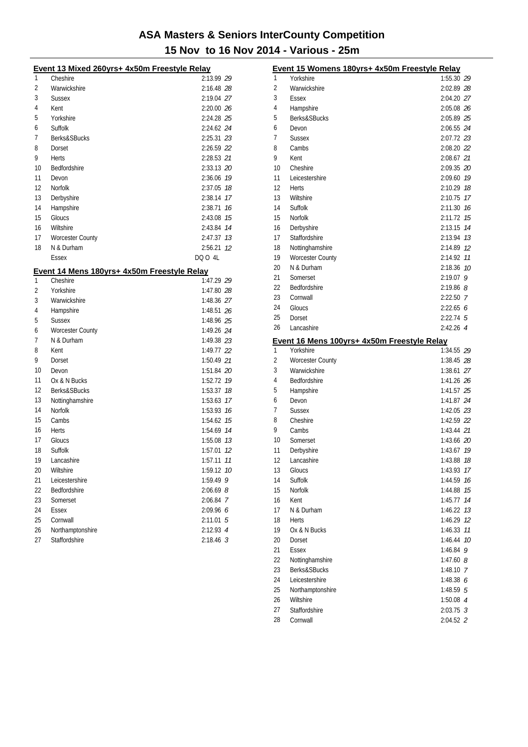| Event 13 Mixed 260yrs+ 4x50m Freestyle Relay |                                             |              |  |  |  |  |
|----------------------------------------------|---------------------------------------------|--------------|--|--|--|--|
| 1                                            | Cheshire                                    | 2:13.99 29   |  |  |  |  |
| 2                                            | Warwickshire                                | 2:16.48 28   |  |  |  |  |
| 3                                            | <b>Sussex</b>                               | 2:19.04 27   |  |  |  |  |
| 4                                            | Kent                                        | 2:20.00 26   |  |  |  |  |
| 5                                            | Yorkshire                                   | 2:24.28 25   |  |  |  |  |
| 6                                            | Suffolk                                     | 2:24.62 24   |  |  |  |  |
| 7                                            | Berks&SBucks                                | 2:25.31 23   |  |  |  |  |
| 8                                            | Dorset                                      | 2:26.59 22   |  |  |  |  |
| 9                                            | Herts                                       | 2:28.53 21   |  |  |  |  |
| 10                                           | Bedfordshire                                | 2:33.13 20   |  |  |  |  |
| 11                                           | Devon                                       | 2:36.06 19   |  |  |  |  |
| 12                                           | Norfolk                                     | 2:37.05 18   |  |  |  |  |
| 13                                           | Derbyshire                                  | 2:38.14 17   |  |  |  |  |
| 14                                           | Hampshire                                   | 2:38.71 76   |  |  |  |  |
| 15                                           | Gloucs                                      | 2:43.08 75   |  |  |  |  |
| 16                                           | Wiltshire                                   | 2:43.84 14   |  |  |  |  |
| 17                                           | <b>Worcester County</b>                     | 2:47.37 13   |  |  |  |  |
| 18                                           | N & Durham                                  | 2:56.21 12   |  |  |  |  |
|                                              | Essex                                       | DQ 0 4L      |  |  |  |  |
|                                              | Event 14 Mens 180yrs+ 4x50m Freestyle Relay |              |  |  |  |  |
| 1                                            | Cheshire                                    | 1:47.29 29   |  |  |  |  |
| 2                                            | Yorkshire                                   | 1:47.80 28   |  |  |  |  |
| 3                                            | Warwickshire                                | 1:48.36 27   |  |  |  |  |
| 4                                            | Hampshire                                   | 1:48.51 26   |  |  |  |  |
| 5                                            | <b>Sussex</b>                               | 1:48.96 25   |  |  |  |  |
| 6                                            | <b>Worcester County</b>                     | 1:49.26 24   |  |  |  |  |
| 7                                            | N & Durham                                  | 1:49.38 23   |  |  |  |  |
| 8                                            | Kent                                        | 1:49.77 22   |  |  |  |  |
| 9                                            | Dorset                                      | 1:50.49 21   |  |  |  |  |
| 10                                           | Devon                                       | 1:51.84 20   |  |  |  |  |
| 11                                           | Ox & N Bucks                                | 1:52.72 79   |  |  |  |  |
| 12                                           | Berks&SBucks                                | 1:53.37 18   |  |  |  |  |
| 13                                           | Nottinghamshire                             | 1:53.63 17   |  |  |  |  |
| 14                                           | <b>Norfolk</b>                              | 1:53.93 16   |  |  |  |  |
| 15                                           | Cambs                                       | 1:54.62 15   |  |  |  |  |
| 16                                           | Herts                                       | 1:54.69 74   |  |  |  |  |
| 17                                           | Gloucs                                      | 1:55.08 73   |  |  |  |  |
| 18                                           | Suffolk                                     | 1:57.01 12   |  |  |  |  |
| 19                                           | Lancashire                                  | 1:57.11 77   |  |  |  |  |
| 20                                           | Wiltshire                                   | 1:59.12 10   |  |  |  |  |
| 21                                           | Leicestershire                              | 1:59.49 9    |  |  |  |  |
| 22                                           | Bedfordshire                                | $2:06.69$ 8  |  |  |  |  |
| 23                                           | Somerset                                    | 2:06.84 7    |  |  |  |  |
| 24                                           | Essex                                       | 2:09.966     |  |  |  |  |
| 25                                           | Cornwall                                    | 2:11.01<br>5 |  |  |  |  |
| 26                                           | Northamptonshire                            | 2:12.93 4    |  |  |  |  |
| 27                                           | Staffordshire                               | $2:18.46$ 3  |  |  |  |  |

|    | Event 15 Womens 180yrs+ 4x50m Freestyle Relay |               |      |
|----|-----------------------------------------------|---------------|------|
| 1  | Yorkshire                                     | 1:55.30 29    |      |
| 2  | Warwickshire                                  | 2:02.89 28    |      |
| 3  | Essex                                         | 2:04.20 27    |      |
| 4  | Hampshire                                     | 2:05.08 26    |      |
| 5  | Berks&SBucks                                  | 2:05.89 25    |      |
| 6  | Devon                                         | 2:06.55 24    |      |
| 7  | Sussex                                        | 2:07.72 23    |      |
| 8  | Cambs                                         | 2:08.20 22    |      |
| 9  | Kent                                          | 2:08.67 21    |      |
| 10 | Cheshire                                      | 2:09.35 20    |      |
| 11 | Leicestershire                                | 2:09.60       | 19   |
| 12 | Herts                                         | 2:10.29       | 18   |
| 13 | Wiltshire                                     | 2:10.75       | 17   |
| 14 | Suffolk                                       | 2:11.30       | - 16 |
| 15 | Norfolk                                       | 2:11.72       | 15   |
| 16 | Derbyshire                                    | 2:13.15       | 14   |
| 17 | Staffordshire                                 | 2:13.94 73    |      |
| 18 | Nottinghamshire                               | 2:14.89 12    |      |
| 19 | <b>Worcester County</b>                       | 2:14.92       | 11   |
| 20 | N & Durham                                    | 2:18.36       | 10   |
| 21 | Somerset                                      | $2:19.07$ 9   |      |
| 22 | Bedfordshire                                  | $2:19.86$ $8$ |      |
| 23 | Cornwall                                      | 2:22.50 7     |      |
| 24 | Gloucs                                        | 2:22.656      |      |
| 25 | Dorset                                        | $2:22.74$ 5   |      |
| 26 | Lancashire                                    | 2:42.26 4     |      |
|    | Event 16 Mens 100yrs+ 4x50m Freestyle Relay   |               |      |
| 1  | Yorkshire                                     | 1:34.55 29    |      |
| 2  | <b>Worcester County</b>                       | 1:38.45 28    |      |
| 3  | Warwickshire                                  | 1:38.61 27    |      |
| 4  | Bedfordshire                                  | 1:41.26 26    |      |
| 5  | Hampshire                                     | 1:41.57 25    |      |
| 6  | Devon                                         | 1:41.87 24    |      |
| 7  | Sussex                                        | 1:42.05 23    |      |
| 8  | Cheshire                                      | 1:42.59 22    |      |
| 9  | Cambs                                         | 1:43.44 21    |      |
| 10 | Somerset                                      | 1:43.66 20    |      |
| 11 | Derbyshire                                    | 1:43.67       | 19   |
| 12 | Lancashire                                    | 1:43.88 18    |      |
| 13 | Gloucs                                        | 1:43.93       | 17   |
| 14 | Suffolk                                       | 1:44.59       | 16   |
| 15 | Norfolk                                       | 1:44.88       | 15   |
| 16 | Kent                                          | 1:45.77       | 14   |
| 17 | N & Durham                                    | 1:46.22       | 13   |
| 18 | <b>Herts</b>                                  | 1:46.29 12    |      |
| 19 | Ox & N Bucks                                  | 1:46.33 77    |      |
| 20 | Dorset                                        | 1:46.44       | 10   |
| 21 | <b>Essex</b>                                  | 1:46.84       | 9    |
| 22 | Nottinghamshire                               | $1:47.60$ $8$ |      |
| 23 | Berks&SBucks                                  | $1:48.10$ 7   |      |
| 24 | Leicestershire                                | 1:48.38 6     |      |
| 25 | Northamptonshire                              | $1:48.59$ 5   |      |
| 26 | Wiltshire                                     | 1:50.08 $4$   |      |
| 27 | Staffordshire                                 | 2:03.75 3     |      |
| 28 | Cornwall                                      | 2:04.52 2     |      |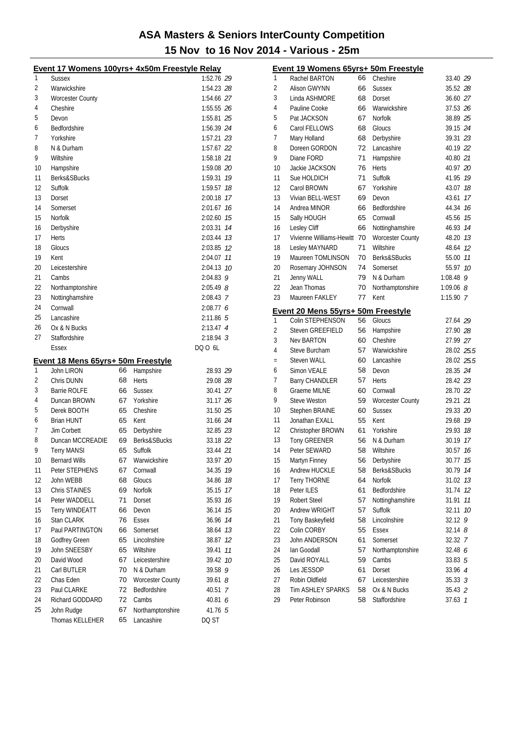| Event 17 Womens 100yrs+ 4x50m Freestyle Relay |                                    |    |                         |                       |  |  |
|-----------------------------------------------|------------------------------------|----|-------------------------|-----------------------|--|--|
| 1                                             | <b>Sussex</b>                      |    |                         | 1:52.76 29            |  |  |
| 2                                             | Warwickshire                       |    |                         | 1:54.23 28            |  |  |
| 3                                             | <b>Worcester County</b>            |    |                         | 1:54.66 27            |  |  |
| 4                                             | Cheshire                           |    |                         | 1:55.55 26            |  |  |
| 5                                             | Devon                              |    |                         | 1:55.81 25            |  |  |
| 6                                             | <b>Bedfordshire</b>                |    |                         | 1:56.39 24            |  |  |
| 7                                             | Yorkshire                          |    |                         | 1:57.21 23            |  |  |
| 8                                             | N & Durham                         |    |                         | 1:57.67 22            |  |  |
| 9                                             | Wiltshire                          |    |                         | 1:58.18 21            |  |  |
| 10                                            | Hampshire                          |    |                         | 1:59.08 20            |  |  |
| 11                                            | Berks&SBucks                       |    |                         | 19<br>1:59.31         |  |  |
| 12                                            | Suffolk                            |    |                         | 1:59.57<br>18         |  |  |
| 13                                            | Dorset                             |    |                         | 2:00.18<br>17         |  |  |
| 14                                            | Somerset                           |    |                         | 2:01.67<br>16         |  |  |
| 15                                            | Norfolk                            |    |                         | 15<br>2:02.60         |  |  |
| 16                                            | Derbyshire                         |    |                         | 14                    |  |  |
| 17                                            | <b>Herts</b>                       |    |                         | 2:03.31<br>2:03.44 73 |  |  |
| 18                                            |                                    |    |                         | 2:03.85 12            |  |  |
|                                               | Gloucs                             |    |                         |                       |  |  |
| 19                                            | Kent                               |    |                         | 2:04.07 11            |  |  |
| 20                                            | Leicestershire                     |    |                         | 2:04.13<br>- 10       |  |  |
| 21                                            | Cambs                              |    |                         | 2:04.83<br>9          |  |  |
| 22                                            | Northamptonshire                   |    |                         | $2:05.49$ $8$         |  |  |
| 23                                            | Nottinghamshire                    |    |                         | 2:08.43 7             |  |  |
| 24                                            | Cornwall                           |    |                         | 2:08.77 6             |  |  |
| 25                                            | Lancashire                         |    |                         | 2:11.86 5             |  |  |
| 26                                            | Ox & N Bucks                       |    |                         | 2:13.47 4             |  |  |
| 27                                            | Staffordshire                      |    |                         | $2:18.94$ 3           |  |  |
|                                               | Essex                              |    |                         | DQ 0 6L               |  |  |
|                                               | Event 18 Mens 65yrs+ 50m Freestyle |    |                         |                       |  |  |
| 1                                             | John LIRON                         | 66 | Hampshire               | 28.93 29              |  |  |
| 2                                             | Chris DUNN                         | 68 | Herts                   | 29.08 28              |  |  |
| 3                                             | <b>Barrie ROLFE</b>                | 66 | <b>Sussex</b>           | 30.41 27              |  |  |
| 4                                             | Duncan BROWN                       | 67 | Yorkshire               | 31.17 26              |  |  |
| 5                                             | Derek BOOTH                        | 65 | Cheshire                | 31.50 25              |  |  |
| 6                                             | <b>Brian HUNT</b>                  | 65 | Kent                    | 31.66 24              |  |  |
| 7                                             | Jim Corbett                        | 65 | Derbyshire              | 32.85 23              |  |  |
| 8                                             | Duncan MCCREADIE                   | 69 | Berks&SBucks            | 33.18 22              |  |  |
| 9                                             | <b>Terry MANSI</b>                 | 65 | Suffolk                 | 33.44 21              |  |  |
| 10                                            | Bernard Wills                      |    | 67 Warwickshire         | 33.97 20              |  |  |
| 11                                            | Peter STEPHENS                     | 67 | Cornwall                | 34.35 19              |  |  |
| 12                                            | John WEBB                          | 68 | Gloucs                  | 34.86<br>18           |  |  |
| 13                                            | Chris STAINES                      | 69 | Norfolk                 | 17<br>35.15           |  |  |
| 14                                            | Peter WADDELL                      | 71 | Dorset                  | 16<br>35.93           |  |  |
| 15                                            | <b>Terry WINDEATT</b>              | 66 | Devon                   | 36.14<br>15           |  |  |
| 16                                            | Stan CLARK                         | 76 | <b>Essex</b>            | 14<br>36.96           |  |  |
| 17                                            | Paul PARTINGTON                    | 66 | Somerset                | 13<br>38.64           |  |  |
| 18                                            | Godfrey Green                      | 65 | Lincolnshire            | 12<br>38.87           |  |  |
| 19                                            | John SNEESBY                       | 65 | Wiltshire               | 11<br>39.41           |  |  |
| 20                                            | David Wood                         | 67 | Leicestershire          | 10<br>39.42           |  |  |
| 21                                            | Carl BUTLER                        | 70 | N & Durham              | 39.58<br>9            |  |  |
| 22                                            | Chas Eden                          | 70 | <b>Worcester County</b> | 39.61<br>8            |  |  |
| 23                                            | Paul CLARKE                        | 72 | Bedfordshire            | 40.51<br>7            |  |  |
| 24                                            | Richard GODDARD                    | 72 | Cambs                   | 40.81<br>6            |  |  |
| 25                                            | John Rudge                         | 67 | Northamptonshire        | 41.76 5               |  |  |
|                                               | Thomas KELLEHER                    | 65 | Lancashire              | DQ ST                 |  |  |
|                                               |                                    |    |                         |                       |  |  |

|     | Event 19 Womens 65yrs+ 50m Freestyle |    |                         |                 |               |  |  |  |  |
|-----|--------------------------------------|----|-------------------------|-----------------|---------------|--|--|--|--|
| 1   | Rachel BARTON                        | 66 | Cheshire                | 33.40 29        |               |  |  |  |  |
| 2   | Alison GWYNN                         | 66 | <b>Sussex</b>           | 35.52 28        |               |  |  |  |  |
| 3   | Linda ASHMORE                        | 68 | Dorset                  | 36.60 27        |               |  |  |  |  |
| 4   | Pauline Cooke                        | 66 | Warwickshire            | 37.53 26        |               |  |  |  |  |
| 5   | Pat JACKSON                          | 67 | <b>Norfolk</b>          | 38.89 25        |               |  |  |  |  |
| 6   | Carol FELLOWS                        | 68 | Gloucs                  | 39.15 24        |               |  |  |  |  |
| 7   | Mary Holland                         | 68 | Derbyshire              | 39.31 23        |               |  |  |  |  |
| 8   | Doreen GORDON                        | 72 | Lancashire              | 40.19 22        |               |  |  |  |  |
| 9   | Diane FORD                           | 71 | Hampshire               | 40.80 21        |               |  |  |  |  |
| 10  | Jackie JACKSON                       | 76 | Herts                   | 40.97 20        |               |  |  |  |  |
| 11  | Sue HOLDICH                          | 71 | Suffolk                 | 41.95 19        |               |  |  |  |  |
| 12  | Carol BROWN                          | 67 | Yorkshire               | 43.07           | 18            |  |  |  |  |
| 13  | Vivian BELL-WEST                     | 69 | Devon                   | 43.61           | -17           |  |  |  |  |
| 14  | Andrea MINOR                         | 66 | Bedfordshire            | 44.34 16        |               |  |  |  |  |
| 15  | Sally HOUGH                          | 65 | Cornwall                | 45.56 75        |               |  |  |  |  |
| 16  | Lesley Cliff                         | 66 | Nottinghamshire         | 46.93 14        |               |  |  |  |  |
| 17  | Vivienne Williams-Hewitt 70          |    | <b>Worcester County</b> | 48.20 13        |               |  |  |  |  |
| 18  | Lesley MAYNARD                       | 71 | Wiltshire               | 48.64 12        |               |  |  |  |  |
| 19  | Maureen TOMLINSON                    | 70 | Berks&SBucks            | 55.00           | 11            |  |  |  |  |
| 20  | Rosemary JOHNSON                     | 74 | Somerset                | 55.97           | 10            |  |  |  |  |
| 21  | Jenny WALL                           | 79 | N & Durham              | 1:08.48         | 9             |  |  |  |  |
| 22  | Jean Thomas                          | 70 | Northamptonshire        | $1:09.06$ $8$   |               |  |  |  |  |
| 23  | Maureen FAKLEY                       | 77 | Kent                    | $1:15.90$ 7     |               |  |  |  |  |
|     |                                      |    |                         |                 |               |  |  |  |  |
|     | Event 20 Mens 55yrs+ 50m Freestyle   |    |                         |                 |               |  |  |  |  |
| 1   | Colin STEPHENSON                     | 56 | Gloucs                  | 27.64 29        |               |  |  |  |  |
| 2   | Steven GREEFIELD                     | 56 | Hampshire               | 27.90 28        |               |  |  |  |  |
| 3   | <b>Nev BARTON</b>                    | 60 | Cheshire                | 27.99 27        |               |  |  |  |  |
| 4   | Steve Burcham                        | 57 | Warwickshire            | 28.02 25.5      |               |  |  |  |  |
| $=$ | <b>Steven WALL</b>                   | 60 | Lancashire              | 28.02 25.5      |               |  |  |  |  |
| 6   | Simon VEALE                          | 58 | Devon                   | 28.35 24        |               |  |  |  |  |
| 7   | <b>Barry CHANDLER</b>                | 57 | Herts                   | 28.42 23        |               |  |  |  |  |
| 8   | Graeme MILNE                         | 60 | Cornwall                | 28.70 22        |               |  |  |  |  |
| 9   | Steve Weston                         | 59 | <b>Worcester County</b> | 29.21 21        |               |  |  |  |  |
| 10  | Stephen BRAINE                       | 60 | <b>Sussex</b>           | 29.33 20        |               |  |  |  |  |
| 11  | Jonathan EXALL                       | 55 | Kent                    | 29.68 19        |               |  |  |  |  |
| 12  | Christopher BROWN                    | 61 | Yorkshire               | 29.93 18        |               |  |  |  |  |
| 13  | <b>Tony GREENER</b>                  | 56 | N & Durham              | 30.19 17        |               |  |  |  |  |
| 14  | Peter SEWARD                         | 58 | Wiltshire               | 30.57 16        |               |  |  |  |  |
| 15  | Martvn Finnev                        | 56 | Derbyshire              | 30.77 <i>15</i> |               |  |  |  |  |
| 16  | Andrew HUCKLE                        | 58 | Berks&SBucks            | 30.79           | 14            |  |  |  |  |
| 17  | <b>Terry THORNE</b>                  | 64 | Norfolk                 | 31.02           | 13            |  |  |  |  |
| 18  | Peter ILES                           | 61 | Bedfordshire            | 31.74           | 12            |  |  |  |  |
| 19  | <b>Robert Steel</b>                  | 57 | Nottinghamshire         | 31.91           | 11            |  |  |  |  |
| 20  | Andrew WRIGHT                        | 57 | Suffolk                 | 32.11           | 10            |  |  |  |  |
| 21  | Tony Baskeyfield                     | 58 | Lincolnshire            | 32.12           | 9             |  |  |  |  |
| 22  | Colin CORBY                          | 55 | <b>Essex</b>            | $32.14$ $8$     |               |  |  |  |  |
| 23  | John ANDERSON                        | 61 | Somerset                | 32.32 7         |               |  |  |  |  |
| 24  | Ian Goodall                          | 57 | Northamptonshire        | 32.48 6         |               |  |  |  |  |
| 25  | David ROYALL                         | 59 | Cambs                   | 33.83 5         |               |  |  |  |  |
| 26  | Les JESSOP                           | 61 | Dorset                  | 33.96 4         |               |  |  |  |  |
| 27  | Robin Oldfield                       | 67 | Leicestershire          | 35.33 3         |               |  |  |  |  |
| 28  | Tim ASHLEY SPARKS                    | 58 | Ox & N Bucks            | 35.43 2         |               |  |  |  |  |
| 29  | Peter Robinson                       | 58 | Staffordshire           | 37.63           | $\mathcal{I}$ |  |  |  |  |
|     |                                      |    |                         |                 |               |  |  |  |  |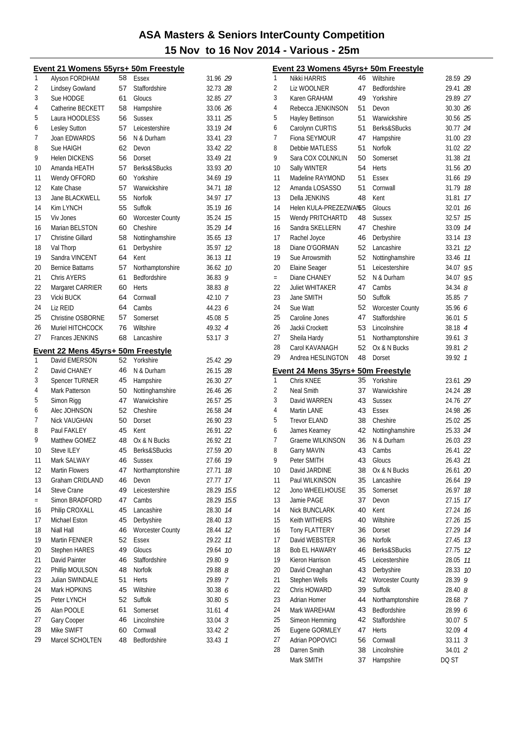|                | Event 21 Womens 55yrs+ 50m Freestyle |    |                         |                    |      |
|----------------|--------------------------------------|----|-------------------------|--------------------|------|
| 1              | Alyson FORDHAM                       | 58 | Essex                   | 31.96 29           |      |
| $\overline{c}$ | Lindsey Gowland                      | 57 | Staffordshire           | 32.73 28           |      |
| 3              | Sue HODGE                            | 61 | Gloucs                  | 32.85 27           |      |
| 4              | Catherine BECKETT                    | 58 | Hampshire               | 33.06 26           |      |
| 5              | Laura HOODLESS                       | 56 | <b>Sussex</b>           | 33.11 25           |      |
| 6              | <b>Lesley Sutton</b>                 | 57 | Leicestershire          | 33.19 24           |      |
| 7              | Joan EDWARDS                         | 56 | N & Durham              | 33.41 23           |      |
| 8              | Sue HAIGH                            | 62 | Devon                   | 33.42 22           |      |
| 9              | <b>Helen DICKENS</b>                 | 56 | Dorset                  | 33.49 21           |      |
| 10             | Amanda HEATH                         | 57 | Berks&SBucks            | 33.93 20           |      |
| 11             | Wendy OFFORD                         | 60 | Yorkshire               | 34.69 19           |      |
| 12             | Kate Chase                           | 57 | Warwickshire            | 34.71 18           |      |
| 13             | Jane BLACKWELL                       | 55 | <b>Norfolk</b>          | 34.97 17           |      |
| 14             | Kim LYNCH                            | 55 | Suffolk                 | 35.19 16           |      |
| 15             | Viv Jones                            | 60 | <b>Worcester County</b> | 35.24 15           |      |
| 16             | Marian BELSTON                       | 60 | Cheshire                | 35.29 14           |      |
| 17             | <b>Christine Gillard</b>             | 58 | Nottinghamshire         | 35.65 73           |      |
| 18             | Val Thorp                            | 61 | Derbyshire              | 35.97 12           |      |
| 19             | Sandra VINCENT                       | 64 | Kent                    | 36.13 11           |      |
| 20             | <b>Bernice Battams</b>               | 57 | Northamptonshire        | 36.62 10           |      |
| 21             | <b>Chris AYERS</b>                   | 61 | Bedfordshire            | 36.839             |      |
| 22             | Margaret CARRIER                     | 60 | Herts                   | $38.83$ $8$        |      |
| 23             | Vicki BUCK                           | 64 | Cornwall                | 42.10 7            |      |
| 24             | Liz REID                             | 64 | Cambs                   | 44.23 6            |      |
| 25             | Christine OSBORNE                    | 57 | Somerset                | 45.08 5            |      |
| 26             | Muriel HITCHCOCK                     | 76 | Wiltshire               | 49.32 4            |      |
| 27             | <b>Frances JENKINS</b>               | 68 | Lancashire              | 53.17 <sup>3</sup> |      |
|                |                                      |    |                         |                    |      |
|                | Event 22 Mens 45yrs+ 50m Freestyle   |    |                         |                    |      |
| 1              | David EMERSON                        | 52 | Yorkshire               | 25.42 29           |      |
| 2              | David CHANEY                         | 46 | N & Durham              | 26.15 28           |      |
| 3              | Spencer TURNER                       | 45 | Hampshire               | 26.30 27           |      |
| 4              | Mark Patterson                       | 50 | Nottinghamshire         | 26.46 26           |      |
| 5              | Simon Rigg                           | 47 | Warwickshire            | 26.57 25           |      |
| 6              | Alec JOHNSON                         | 52 | Cheshire                | 26.58 24           |      |
| 7              | Nick VAUGHAN                         | 50 | Dorset                  | 26.90 23           |      |
| 8              | Paul FAKLEY                          | 45 | Kent                    | 26.91 22           |      |
| 9              | Matthew GOMEZ                        | 48 | Ox & N Bucks            | 26.92 21           |      |
| 10             | Steve ILEY                           | 45 | Berks&SBucks            | 27.59 20           |      |
| 11             | Mark SALWAY                          | 46 | <b>Sussex</b>           | 27.66 19           |      |
| 12             | Martin Flowers                       | 47 | Northamptonshire        | 27.71              | 18   |
| 13             | Graham CRIDLAND                      | 46 | Devon                   | 27.77              | 17   |
| 14             | Steve Crane                          | 49 | Leicestershire          | 28.29              | 15.5 |
| $=$            | Simon BRADFORD                       | 47 | Cambs                   | 28.29              | 15.5 |
| 16             | Philip CROXALL                       | 45 | Lancashire              | 28.30              | 14   |
| 17             | Michael Eston                        | 45 | Derbyshire              | 28.40              | 13   |
| 18             | Niall Hall                           | 46 | <b>Worcester County</b> | 28.44              | 12   |
| 19             | Martin FENNER                        | 52 | <b>Essex</b>            | 29.22              | 11   |
| 20             | <b>Stephen HARES</b>                 | 49 | Gloucs                  | 29.64              | 10   |
| 21             | David Painter                        | 46 | Staffordshire           | 29.80 9            |      |
| 22             | Phillip MOULSON                      | 48 | Norfolk                 | 29.88 8            |      |
| 23             | Julian SWINDALE                      | 51 | Herts                   | 29.89 7            |      |
| 24             | Mark HOPKINS                         | 45 | Wiltshire               | 30.38 6            |      |
| 25             | Peter LYNCH                          | 52 | Suffolk                 | 30.80 5            |      |
| 26             | Alan POOLE                           | 61 | Somerset                | 31.61 4            |      |
| 27             | Gary Cooper                          | 46 | Lincolnshire            | $33.04$ 3          |      |
| 28             | Mike SWIFT                           | 60 | Cornwall                | 33.42 2            |      |
| 29             | Marcel SCHOLTEN                      | 48 | Bedfordshire            | 33.43 7            |      |
|                |                                      |    |                         |                    |      |

|     | <u>Event 23 Womens 45yrs+ 50m Freestyle</u> |    |                         |                |    |
|-----|---------------------------------------------|----|-------------------------|----------------|----|
| 1   | <b>Nikki HARRIS</b>                         | 46 | Wiltshire               | 28.59 29       |    |
| 2   | Liz WOOLNER                                 | 47 | Bedfordshire            | 29.41 28       |    |
| 3   | Karen GRAHAM                                | 49 | Yorkshire               | 29.89 27       |    |
| 4   | Rebecca JENKINSON                           | 51 | Devon                   | 30.30 26       |    |
| 5   | Hayley Bettinson                            | 51 | Warwickshire            | 30.56 25       |    |
| 6   | Carolynn CURTIS                             | 51 | Berks&SBucks            | 30.77 24       |    |
| 7   | Fiona SEYMOUR                               | 47 | Hampshire               | 31.00 23       |    |
| 8   | Debbie MATLESS                              | 51 | <b>Norfolk</b>          | 31.02 22       |    |
| 9   | Sara COX COLNKLIN                           | 50 | Somerset                | 31.38 21       |    |
| 10  | Sally WINTER                                | 54 | Herts                   | 31.56 20       |    |
| 11  | Madeline RAYMOND                            | 51 | Essex                   | 31.66          | 19 |
| 12  | Amanda LOSASSO                              | 51 | Cornwall                | 31.79          | 18 |
| 13  | Della JENKINS                               | 48 | Kent                    | 31.81          | 17 |
| 14  | Helen KULA-PREZEZWAN55                      |    | Gloucs                  | 32.01          | 16 |
| 15  | Wendy PRITCHARTD                            | 48 | <b>Sussex</b>           | 32.57          | 15 |
| 16  | Sandra SKELLERN                             | 47 | Cheshire                | 33.09          | 14 |
| 17  | Rachel Joyce                                | 46 | Derbyshire              | 33.14 13       |    |
| 18  | Diane O'GORMAN                              | 52 | Lancashire              | 33.21          | 12 |
| 19  | Sue Arrowsmith                              | 52 | Nottinghamshire         | 33.46 11       |    |
| 20  | Elaine Seager                               | 51 | Leicestershire          | 34.07 9.5      |    |
| $=$ | Diane CHANEY                                | 52 | N & Durham              | 34.07 9.5      |    |
| 22  | <b>Juliet WHITAKER</b>                      | 47 | Cambs                   | 34.348         |    |
| 23  | Jane SMITH                                  | 50 | Suffolk                 | 35.85 7        |    |
| 24  | Sue Watt                                    | 52 | Worcester County        | 35.96 6        |    |
| 25  | Caroline Jones                              | 47 | <b>Staffordshire</b>    | 36.015         |    |
| 26  | Jackii Crockett                             | 53 | Lincolnshire            | 38.18 4        |    |
| 27  | Sheila Hardy                                | 51 | Northamptonshire        | 39.61 3        |    |
| 28  | Carol KAVANAGH                              | 52 | Ox & N Bucks            | 39.81 2        |    |
| 29  | Andrea HESLINGTON                           | 48 | Dorset                  | 39.92 1        |    |
|     |                                             |    |                         |                |    |
|     |                                             |    |                         |                |    |
|     | Event 24 Mens 35yrs+ 50m Freestyle          |    |                         |                |    |
| 1   | Chris KNEE                                  | 35 | Yorkshire               | 23.61 29       |    |
| 2   | Neal Smith                                  | 37 | Warwickshire            | 24.24 28       |    |
| 3   | David WARREN                                | 43 | <b>Sussex</b>           | 24.76 27       |    |
| 4   | Martin LANE                                 | 43 | Essex                   | 24.98 26       |    |
| 5   | <b>Trevor ELAND</b>                         | 38 | Cheshire                | 25.02 25       |    |
| 6   | James Kearney                               | 42 | Nottinghamshire         | 25.33 24       |    |
| 7   | Graeme WILKINSON                            | 36 | N & Durham              | 26.03 23       |    |
| 8   | <b>Garry MAVIN</b>                          | 43 | Cambs                   | 26.41 22       |    |
| 9   | Peter SMITH                                 | 43 | Gloucs                  | 26.43 21       |    |
| 10  | David JARDINE                               | 38 | Ox & N Bucks            | 26.61 20       |    |
| 11  | Paul WILKINSON                              | 35 | Lancashire              | 26.64          | 19 |
| 12  | Jono WHEELHOUSE                             | 35 | Somerset                | 26.97          | 18 |
| 13  | Jamie PAGE                                  | 37 | Devon                   | 27.15          | 17 |
| 14  | <b>Nick BUNCLARK</b>                        | 40 | Kent                    | 27.24          | 16 |
| 15  | Keith WITHERS                               | 40 | Wiltshire               | 27.26          | 15 |
| 16  | Tony FLATTERY                               | 36 | Dorset                  | 27.29          | 14 |
| 17  | David WEBSTER                               | 36 | Norfolk                 | 27.45          | 13 |
| 18  | <b>Bob EL HAWARY</b>                        | 46 | Berks&SBucks            | 27.75          | 12 |
| 19  | Kieron Harrison                             | 45 | Leicestershire          | 28.05          | 11 |
| 20  | David Creaghan                              | 43 | Derbyshire              | 28.33          | 10 |
| 21  | Stephen Wells                               | 42 | <b>Worcester County</b> | 28.39          | 9  |
| 22  | Chris HOWARD                                | 39 | Suffolk                 | 28.40 <i>8</i> |    |
| 23  | Adrian Homer                                | 44 | Northamptonshire        | 28.68 7        |    |
| 24  | Mark WAREHAM                                | 43 | Bedfordshire            | 28.99 6        |    |
| 25  | Simeon Hemming                              | 42 | Staffordshire           | 30.075         |    |
| 26  | Eugene GORMLEY                              | 47 | <b>Herts</b>            | 32.09 4        |    |
| 27  | Adrian POPOVICI                             | 56 | Cornwall                | $33.11 \t3$    |    |
| 28  | Darren Smith                                | 38 | Lincolnshire            | 34.01 2        |    |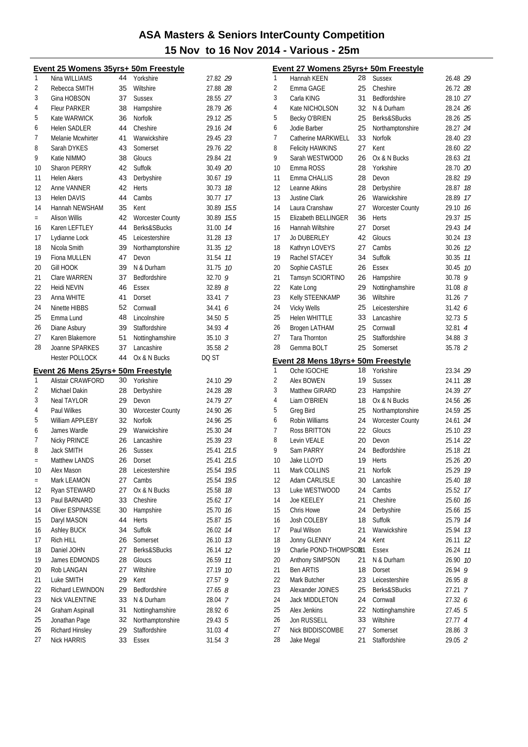|          | Event 25 Womens 35yrs+ 50m Freestyle  |          |                         |                      |
|----------|---------------------------------------|----------|-------------------------|----------------------|
| 1        | Nina WILLIAMS                         | 44       | Yorkshire               | 27.82 29             |
| 2        | Rebecca SMITH                         | 35       | Wiltshire               | 27.88 28             |
| 3        | Gina HOBSON                           | 37       | <b>Sussex</b>           | 28.55 27             |
| 4        | <b>Fleur PARKER</b>                   | 38       | Hampshire               | 28.79 26             |
| 5        | Kate WARWICK                          | 36       | <b>Norfolk</b>          | 29.12 25             |
| 6        | <b>Helen SADLER</b>                   | 44       | Cheshire                | 29.16 24             |
| 7        | Melanie Mcwhirter                     | 41       | Warwickshire            | 29.45 23             |
| 8        | Sarah DYKES                           | 43       | Somerset                | 29.76 22             |
| 9        | Katie NIMMO                           | 38       | Gloucs                  | 29.84 21             |
| 10       | Sharon PERRY                          | 42       | Suffolk                 | 30.49 20             |
| 11       | <b>Helen Akers</b>                    | 43       | Derbyshire              | 30.67 19             |
| 12       | Anne VANNER                           | 42       | <b>Herts</b>            | 30.73 18             |
| 13       | <b>Helen DAVIS</b>                    | 44       | Cambs                   | 30.77 17             |
| 14       | Hannah NEWSHAM                        | 35       | Kent                    | 30.89 15.5           |
| $=$      | <b>Alison Willis</b>                  | 42       | <b>Worcester County</b> | 30.89 15.5           |
| 16       | Karen LEFTLEY                         | 44       | Berks&SBucks            | 31.00 74             |
| 17       | Lydianne Lock                         | 45       | Leicestershire          | 31.28 13             |
| 18       | Nicola Smith                          | 39       | Northamptonshire        | 31.35 12             |
| 19       | Fiona MULLEN                          | 47       | Devon                   | 31.54 11             |
| 20       | Gill HOOK                             | 39       | N & Durham              | 31.75 10             |
| 21       | Clare WARREN                          | 37       | Bedfordshire            | 32.70 9              |
| 22       | Heidi NEVIN                           | 46       |                         | 32.898               |
| 23       |                                       |          | Essex                   |                      |
| 24       | Anna WHITE                            | 41       | Dorset                  | 33.41 7              |
|          | Ninette HIBBS                         | 52       | Cornwall                | 34.41 6              |
| 25       | Emma Lund                             | 48       | Lincolnshire            | 34.50 5              |
| 26       | Diane Asbury                          | 39       | Staffordshire           | 34.93 4              |
| 27       | Karen Blakemore                       | 51       | Nottinghamshire         | $35.10 \t3$          |
| 28       | Joanne SPARKES                        | 37       | Lancashire              | 35.58 2              |
|          | <b>Hester POLLOCK</b>                 | 44       | Ox & N Bucks            | DQ ST                |
|          | Event 26 Mens 25yrs+ 50m Freestyle    |          |                         |                      |
| 1        | Alistair CRAWFORD                     | 30       | Yorkshire               | 24.10 29             |
| 2        | Michael Dakin                         | 28       | Derbyshire              | 24.28 28             |
| 3        | <b>Neal TAYLOR</b>                    | 29       | Devon                   | 24.79 27             |
| 4        | Paul Wilkes                           | 30       | <b>Worcester County</b> | 24.90 26             |
| 5        | William APPLEBY                       | 32       | <b>Norfolk</b>          | 24.96 25             |
| 6        | James Wardle                          | 29       | Warwickshire            | 25.30 24             |
| 7        | Nicky PRINCE                          | 26       | Lancashire              | 25.39 23             |
| 8        | <b>Jack SMITH</b>                     | 26       | <b>Sussex</b>           |                      |
| $=$      |                                       |          |                         | 25.41 21.5           |
| 10       | Matthew LANDS                         | 26       | Dorset                  | 25.41 21.5           |
|          | Alex Mason                            | 28       | Leicestershire          | 25.54<br>19.5        |
| $=$      | Mark LEAMON                           | 27       | Cambs                   | 25.54<br>19.5        |
| 12       | Ryan STEWARD                          | 27       | Ox & N Bucks            | 25.58<br>18          |
| 13       | Paul BARNARD                          | 33       | Cheshire                | 25.62<br>17          |
| 14       | <b>Oliver ESPINASSE</b>               | 30       | Hampshire               | 16<br>25.70          |
| 15       | Daryl MASON                           | 44       | Herts                   | 15<br>25.87          |
| 16       | <b>Ashley BUCK</b>                    | 34       | Suffolk                 | 14<br>26.02          |
| 17       | Rich HILL                             | 26       | Somerset                | 26.10<br>13          |
| 18       | Daniel JOHN                           | 27       | Berks&SBucks            | 26.14<br>12          |
| 19       | James EDMONDS                         | 28       | Gloucs                  | 11<br>26.59          |
| 20       | Rob LANGAN                            | 27       | Wiltshire               | 27.19<br>10          |
| 21       | Luke SMITH                            | 29       | Kent                    | 27.57<br>9           |
| 22       | Richard LEWINDON                      | 29       | Bedfordshire            |                      |
|          |                                       |          |                         | 27.65 <i>8</i>       |
| 23       | Nick VALENTINE                        | 33       | N & Durham              | 28.04 7              |
| 24       | Graham Aspinall                       | 31       | Nottinghamshire         | 28.92 6              |
| 25       | Jonathan Page                         | 32       | Northamptonshire        | 29.43 5              |
| 26<br>27 | Richard Hinsley<br><b>Nick HARRIS</b> | 29<br>33 | Staffordshire<br>Essex  | 31.03 4<br>$31.54$ 3 |

|    | <b>Event 27 Womens 25yrs+ 50m Freestyle</b>       |    |                                             |                 |
|----|---------------------------------------------------|----|---------------------------------------------|-----------------|
| 1  | Hannah KEEN                                       | 28 | <b>Sussex</b>                               | 26.48 29        |
| 2  | Emma GAGE                                         | 25 | Cheshire                                    | 26.72 28        |
| 3  | Carla KING                                        | 31 | Bedfordshire                                | 28.10 27        |
| 4  | Kate NICHOLSON                                    | 32 | N & Durham                                  | 28.24 26        |
| 5  | Becky O'BRIEN                                     | 25 | Berks&SBucks                                | 28.26 25        |
| 6  | Jodie Barber                                      | 25 | Northamptonshire                            | 28.27 24        |
| 7  | Catherine MARKWELL                                | 33 | Norfolk                                     | 28.40 23        |
| 8  | <b>Felicity HAWKINS</b>                           | 27 | Kent                                        | 28.60 22        |
| 9  | Sarah WESTWOOD                                    | 26 | Ox & N Bucks                                | 28.63 21        |
| 10 | Emma ROSS                                         | 28 | Yorkshire                                   | 28.70 20        |
| 11 | Emma CHALLIS                                      | 28 | Devon                                       | 28.82 19        |
| 12 | Leanne Atkins                                     | 28 | Derbyshire                                  | 28.87 18        |
| 13 | <b>Justine Clark</b>                              | 26 | Warwickshire                                | 28.89 17        |
| 14 | Laura Cranshaw                                    | 27 | <b>Worcester County</b>                     | 29.10 16        |
| 15 | Elizabeth BELLINGER                               | 36 | Herts                                       | 29.37<br>15     |
| 16 | Hannah Wiltshire                                  | 27 | Dorset                                      | 29.43<br>14     |
| 17 | <b>Jo DUBERLEY</b>                                | 42 | Gloucs                                      | 13<br>30.24     |
| 18 | Kathryn LOVEYS                                    | 27 | Cambs                                       | 30.26 12        |
| 19 | Rachel STACEY                                     | 34 | Suffolk                                     | 30.35 77        |
| 20 | Sophie CASTLE                                     | 26 | <b>Essex</b>                                | 10<br>30.45     |
| 21 | Tamsyn SCIORTINO                                  | 26 | Hampshire                                   | $30.78$ 9       |
| 22 | Kate Long                                         | 29 | Nottinghamshire                             | 31.088          |
| 23 | Kelly STEENKAMP                                   | 36 | Wiltshire                                   | $31.26$ 7       |
| 24 | <b>Vicky Wells</b>                                | 25 | Leicestershire                              | 31.426          |
| 25 | <b>Helen WHITTLE</b>                              | 33 | Lancashire                                  | 32.73 5         |
| 26 | <b>Brogen LATHAM</b>                              | 25 | Cornwall                                    | $32.81 \quad 4$ |
| 27 | <b>Tara Thornton</b>                              | 25 | Staffordshire                               | 34.88 3         |
| 28 | Gemma BOLT                                        | 25 | Somerset                                    | 35.78 2         |
|    |                                                   |    |                                             |                 |
|    |                                                   |    |                                             |                 |
| 1  | Event 28 Mens 18yrs+ 50m Freestyle<br>Oche IGOCHE | 18 | Yorkshire                                   | 23.34 29        |
| 2  | Alex BOWEN                                        | 19 | <b>Sussex</b>                               | 24.11 28        |
| 3  | <b>Matthew GIRARD</b>                             | 23 | Hampshire                                   | 24.39 27        |
| 4  | Liam O'BRIEN                                      | 18 | Ox & N Bucks                                | 24.56 26        |
| 5  | Greg Bird                                         | 25 |                                             | 24.59 25        |
| 6  | Robin Williams                                    | 24 | Northamptonshire<br><b>Worcester County</b> | 24.61 24        |
| 7  | Ross BRITTON                                      | 22 | Gloucs                                      | 25.10 23        |
| 8  | Levin VEALE                                       | 20 | Devon                                       | 25.14 22        |
| 9  | Sam PARRY                                         | 24 | Bedfordshire                                | 25.18 21        |
| 10 | Jake LLOYD                                        | 19 | Herts                                       | 25.26 20        |
| 11 | Mark COLLINS                                      | 21 | Norfolk                                     | 25.29<br>19     |
| 12 | Adam CARLISLE                                     | 30 | Lancashire                                  | 25.40<br>18     |
| 13 | Luke WESTWOOD                                     | 24 | Cambs                                       | 17<br>25.52     |
| 14 | Joe KEELEY                                        | 21 | Cheshire                                    | 25.60<br>16     |
| 15 | Chris Howe                                        | 24 | Derbyshire                                  | 25.66<br>15     |
| 16 | Josh COLEBY                                       | 18 | Suffolk                                     | 25.79<br>14     |
| 17 | Paul Wilson                                       | 21 | Warwickshire                                | 25.94<br>13     |
| 18 | Jonny GLENNY                                      | 24 | Kent                                        | 26.11<br>12     |
| 19 | Charlie POND-THOMPSOR1                            |    | Essex                                       | 11<br>26.24     |
| 20 | Anthony SIMPSON                                   | 21 | N & Durham                                  | 26.90 10        |
| 21 | <b>Ben ARTIS</b>                                  | 18 | Dorset                                      | 26.94 9         |
| 22 | Mark Butcher                                      | 23 | Leicestershire                              | 26.95 8         |
| 23 | Alexander JOINES                                  | 25 | Berks&SBucks                                | 27.21 7         |
| 24 | Jack MIDDLETON                                    | 24 | Cornwall                                    | 27.32 6         |
| 25 | Alex Jenkins                                      | 22 | Nottinghamshire                             | 27.45 5         |
| 26 | Jon RUSSELL                                       | 33 | Wiltshire                                   | 27.77 4         |
| 27 | Nick BIDDISCOMBE                                  | 27 | Somerset                                    | 28.86 3         |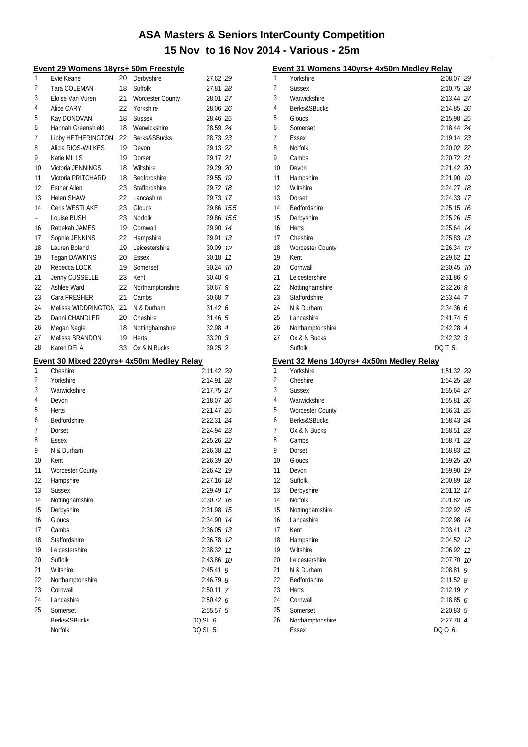|        | Event 29 Womens 18yrs+ 50m Freestyle      |    |                         |                          |
|--------|-------------------------------------------|----|-------------------------|--------------------------|
| 1      | Evie Keane                                | 20 | Derbyshire              | 27.62 <i>29</i>          |
| 2      | Tara COLEMAN                              | 18 | Suffolk                 | 27.81 <i>28</i>          |
| 3      | Eloise Van Vuren                          | 21 | <b>Worcester County</b> | 28.01 27                 |
| 4      | Alice CARY                                | 22 | Yorkshire               | 28.06 26                 |
| 5      | Kay DONOVAN                               | 18 | <b>Sussex</b>           | 28.46 25                 |
| 6      | Hannah Greenshield                        | 18 | Warwickshire            | 28.59 24                 |
| 7      | Libby HETHERINGTON                        | 22 | Berks&SBucks            | 28.73 23                 |
| 8      | Alicia RIOS-WILKES                        | 19 | Devon                   | 29.13 22                 |
| 9      | Katie MILLS                               | 19 | Dorset                  | 29.17 21                 |
| 10     | Victoria JENNINGS                         | 18 | Wiltshire               | 29.29 20                 |
| 11     | Victoria PRITCHARD                        | 18 | Bedfordshire            | 29.55 19                 |
| 12     | <b>Esther Allen</b>                       | 23 | Staffordshire           | 29.72 18                 |
| 13     | <b>Helen SHAW</b>                         | 22 | Lancashire              | 29.73 17                 |
| 14     | Ceris WESTLAKE                            | 23 | Gloucs                  | 29.86 15.5               |
| $=$    | Louise BUSH                               | 23 | <b>Norfolk</b>          | 29.86 15.5               |
| 16     | Rebekah JAMES                             | 19 | Cornwall                | 29.90 14                 |
| 17     | Sophie JENKINS                            | 22 | Hampshire               | 29.91<br>13              |
| 18     | Lauren Boland                             | 19 | Leicestershire          | 30.09 12                 |
| 19     | <b>Tegan DAWKINS</b>                      | 20 | Essex                   | 30.18 11                 |
| 20     | Rebecca LOCK                              | 19 | Somerset                | 30.24 10                 |
| 21     | Jenny CUSSELLE                            | 23 | Kent                    | 30.40 9                  |
| 22     | Ashlee Ward                               | 22 | Northamptonshire        | 30.678                   |
| 23     | Cara FRESHER                              | 21 | Cambs                   | 30.68 7                  |
| 24     | Melissa WIDDRINGTON 21                    |    | N & Durham              | 31.426                   |
| 25     | Danni CHANDLER                            | 20 | Cheshire                | 31.465                   |
| 26     | Megan Nagle                               | 18 | Nottinghamshire         | 32.98 4                  |
| 27     | Melissa BRANDON                           | 19 | Herts                   | $33.20 \text{ } 3$       |
|        | Karen DELA                                | 33 | Ox & N Bucks            | 39.25 2                  |
| 28     |                                           |    |                         |                          |
|        |                                           |    |                         |                          |
| 1      | Event 30 Mixed 220yrs+ 4x50m Medley Relay |    |                         |                          |
|        | Cheshire                                  |    |                         | 2:11.42 29               |
| 2<br>3 | Yorkshire<br>Warwickshire                 |    |                         | 2:14.91 28               |
| 4      | Devon                                     |    |                         | 2:17.75 27<br>2:18.07 26 |
| 5      | Herts                                     |    |                         | 2:21.47 25               |
| 6      | Bedfordshire                              |    |                         | 2:22.31 24               |
| 7      | Dorset                                    |    |                         | 2:24.94 23               |
| 8      | Essex                                     |    |                         |                          |
| 9      | N & Durham                                |    |                         | 2:25.26 22<br>2:26.38 21 |
| 10     | Kent                                      |    |                         |                          |
| 11     |                                           |    |                         | 2:26.39 20<br>2:26.42 19 |
| 12     | <b>Worcester County</b><br>Hampshire      |    |                         | 2:27.16 18               |
| 13     | <b>Sussex</b>                             |    |                         | 2:29.49 17               |
| 14     | Nottinghamshire                           |    |                         | 2:30.72 76               |
| 15     | Derbyshire                                |    |                         | 2:31.98 75               |
| 16     | Gloucs                                    |    |                         | 2:34.90 74               |
| 17     | Cambs                                     |    |                         | 2:36.05 73               |
| 18     | Staffordshire                             |    |                         | 2:36.78 12               |
| 19     | Leicestershire                            |    |                         | 2:38.32 11               |
| 20     | Suffolk                                   |    |                         | 2:43.86 10               |
| 21     | Wiltshire                                 |    |                         | 2:45.41<br>9             |
| 22     | Northamptonshire                          |    |                         | $2:46.79$ $8$            |
| 23     | Cornwall                                  |    |                         | 2:50.11 7                |
| 24     | Lancashire                                |    |                         | 2:50.42 6                |
| 25     | Somerset                                  |    |                         | $2:55.57$ 5              |
|        | Berks&SBucks                              |    |                         | DQ SL 6L                 |

|          | Event 31 Womens 140yrs+ 4x50m Medley Relay |                    |          |
|----------|--------------------------------------------|--------------------|----------|
| 1        | Yorkshire                                  | 2:08.07 29         |          |
| 2        | <b>Sussex</b>                              | 2:10.75 28         |          |
| 3        | Warwickshire                               | 2:13.44 27         |          |
| 4        | Berks&SBucks                               | 2:14.85 26         |          |
| 5        | Gloucs                                     | 2:15.98 25         |          |
| 6        | Somerset                                   | 2:18.44 24         |          |
| 7        | Essex                                      | 2:19.14 23         |          |
| 8        | Norfolk                                    | 2:20.02 22         |          |
| 9        | Cambs                                      | 2:20.72 21         |          |
| 10       | Devon                                      | 2:21.42 20         |          |
| 11       | Hampshire                                  | 2:21.90 19         |          |
| 12       | Wiltshire                                  | 2:24.27            | 18       |
| 13       | Dorset                                     | 2:24.33            | 17       |
| 14       | Bedfordshire                               | 2:25.15            | 16       |
| 15       | Derbyshire                                 | 2:25.26            | 15       |
| 16       | <b>Herts</b>                               | 2:25.64            | 14       |
| 17       | Cheshire                                   | $2:25.83$ $13$     |          |
| 18       | <b>Worcester County</b>                    | 2:26.34 12         |          |
| 19       | Kent                                       | 2:29.62            | 11       |
| 20       | Cornwall                                   | 2:30.45            | 10       |
| 21       | Leicestershire                             | 2:31.86            | 9        |
| 22       | Nottinghamshire                            | $2:32.26$ 8        |          |
| 23       | Staffordshire                              | 2:33.44 7          |          |
| 24       | N & Durham                                 | 2:34.366           |          |
| 25       | Lancashire                                 | $2:41.74$ 5        |          |
| 26       | Northamptonshire                           | 2:42.28 4          |          |
| 27       | Ox & N Bucks                               | $2:42.32$ 3        |          |
|          |                                            |                    |          |
|          | Suffolk                                    | DQ T 5L            |          |
|          | Event 32 Mens 140yrs+ 4x50m Medley Relay   |                    |          |
| 1        | Yorkshire                                  | 1:51.32 29         |          |
| 2        | Cheshire                                   | 1:54.25 28         |          |
| 3        | Sussex                                     | 1:55.64 27         |          |
| 4        | Warwickshire                               | 1:55.81 26         |          |
| 5        | <b>Worcester County</b>                    | 1:56.31 25         |          |
| 6        | Berks&SBucks                               | 1:58.43 24         |          |
| 7        | Ox & N Bucks                               | 1:58.51 23         |          |
| 8        | Cambs                                      | 1:58.71 22         |          |
| 9        | Dorset                                     | 1:58.83 21         |          |
| 10       | Gloucs                                     | 1:59.25 20         |          |
| 11       | Devon                                      | 1:59.90            | 19       |
| 12       | Suffolk                                    | 2:00.89            | 18       |
| 13       | Derbyshire                                 | 2:01.12            | 17       |
| 14       | Norfolk                                    | 2:01.82            | 16       |
| 15<br>16 | Nottinghamshire                            | 2:02.92            | 15<br>14 |
| 17       | Lancashire<br>Kent                         | 2:02.98            | 13       |
| 18       |                                            | 2:03.41<br>2:04.52 | 12       |
| 19       | Hampshire<br>Wiltshire                     | 2:06.92            | 11       |
| 20       | Leicestershire                             | 2:07.70            | 10       |
| 21       | N & Durham                                 | 2:08.81            | 9        |
| 22       | Bedfordshire                               | $2:11.52$ $8$      |          |
| 23       | Herts                                      | 2:12.19 7          |          |
| 24       | Cornwall                                   | 2:18.856           |          |
| 25       | Somerset                                   | $2:20.83$ 5        |          |
| 26       | Northamptonshire                           | 2:27.70 4          |          |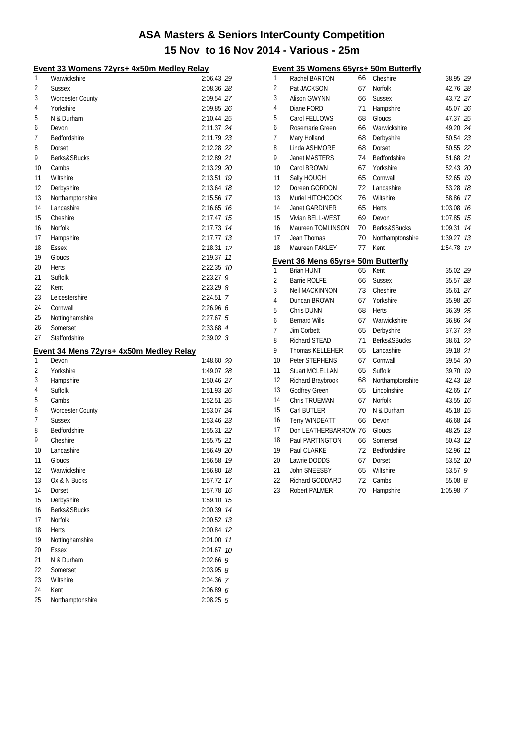|    | Event 33 Womens 72yrs+ 4x50m Medley Relay |             |    |
|----|-------------------------------------------|-------------|----|
| 1  | Warwickshire                              | 2:06.43 29  |    |
| 2  | <b>Sussex</b>                             | 2:08.36 28  |    |
| 3  | <b>Worcester County</b>                   | 2:09.54 27  |    |
| 4  | Yorkshire                                 | 2:09.85 26  |    |
| 5  | N & Durham                                | 2:10.44 25  |    |
| 6  | Devon                                     | 2:11.37 24  |    |
| 7  | Bedfordshire                              | 2:11.79 23  |    |
| 8  | Dorset                                    | 2:12.28 22  |    |
| 9  | Berks&SBucks                              | 2:12.89 21  |    |
| 10 | Cambs                                     | 2:13.29 20  |    |
| 11 | Wiltshire                                 | 2:13.51     | 19 |
| 12 | Derbyshire                                | 2:13.64 18  |    |
| 13 | Northamptonshire                          | 2:15.56 17  |    |
| 14 | Lancashire                                | 2:16.65 76  |    |
| 15 | Cheshire                                  | 2:17.47 15  |    |
| 16 | Norfolk                                   | 2:17.73 14  |    |
| 17 | Hampshire                                 | 2:17.77 13  |    |
| 18 | Essex                                     | 2:18.31     | 12 |
| 19 | Gloucs                                    | 2:19.37     | 11 |
| 20 | Herts                                     | 2:22.35 10  |    |
| 21 | Suffolk                                   | $2:23.27$ 9 |    |
| 22 | Kent                                      | $2:23.29$ 8 |    |
| 23 | Leicestershire                            | $2:24.51$ 7 |    |
| 24 | Cornwall                                  | 2:26.966    |    |
| 25 |                                           |             |    |
| 26 | Nottinghamshire<br>Somerset               | $2:27.67$ 5 |    |
| 27 | Staffordshire                             | 2:33.68 4   |    |
|    |                                           | $2:39.02$ 3 |    |
|    | Event 34 Mens 72yrs+ 4x50m Medley Relay   |             |    |
| 1  | Devon                                     | 1:48.60 29  |    |
| 2  | Yorkshire                                 | 1:49.07 28  |    |
| 3  | Hampshire                                 | 1:50.46 27  |    |
| 4  | Suffolk                                   | 1:51.93 26  |    |
| 5  | Cambs                                     | 1:52.51 25  |    |
| 6  | <b>Worcester County</b>                   | 1:53.07 24  |    |
| 7  | <b>Sussex</b>                             | 1:53.46 23  |    |
| 8  | Bedfordshire                              | 1:55.31 22  |    |
| 9  | Cheshire                                  | 1:55.75 21  |    |
| 10 | Lancashire                                | 1:56.49 20  |    |
| 11 | Gloucs                                    | 1:56.58 19  |    |
| 12 | Warwickshire                              | 1:56.80 78  |    |
| 13 | Ox & N Bucks                              | 1:57.72     | 17 |
| 14 | Dorset                                    | 1:57.78 16  |    |
| 15 | Derbyshire                                | 1:59.10 75  |    |
| 16 | Berks&SBucks                              | 2:00.39 74  |    |
| 17 | <b>Norfolk</b>                            | 2:00.52 73  |    |
| 18 | Herts                                     | 2:00.84 12  |    |
| 19 | Nottinghamshire                           | 2:01.00 77  |    |
| 20 |                                           | 2:01.67 10  |    |
|    | <b>Essex</b>                              |             |    |
| 21 | N & Durham                                | $2:02.66$ 9 |    |
| 22 | Somerset                                  | $2:03.95$ 8 |    |
| 23 | Wiltshire                                 | 2:04.36 7   |    |
| 24 | Kent                                      | 2:06.89 6   |    |

|    | Event 35 Womens 65yrs+ 50m Butterfly |    |                  |          |                |
|----|--------------------------------------|----|------------------|----------|----------------|
| 1  | Rachel BARTON                        | 66 | Cheshire         | 38.95 29 |                |
| 2  | Pat JACKSON                          | 67 | Norfolk          | 42.76 28 |                |
| 3  | Alison GWYNN                         | 66 | <b>Sussex</b>    | 43.72 27 |                |
| 4  | Diane FORD                           | 71 | Hampshire        | 45.07 26 |                |
| 5  | Carol FELLOWS                        | 68 | Gloucs           | 47.37 25 |                |
| 6  | Rosemarie Green                      | 66 | Warwickshire     | 49.20 24 |                |
| 7  | Mary Holland                         | 68 | Derbyshire       | 50.54 23 |                |
| 8  | Linda ASHMORE                        | 68 | Dorset           | 50.55 22 |                |
| 9  | <b>Janet MASTERS</b>                 | 74 | Bedfordshire     | 51.68 21 |                |
| 10 | Carol BROWN                          | 67 | Yorkshire        | 52.43 20 |                |
| 11 | Sally HOUGH                          | 65 | Cornwall         | 52.65 19 |                |
| 12 | Doreen GORDON                        | 72 | Lancashire       | 53.28    | 18             |
| 13 | Muriel HITCHCOCK                     | 76 | Wiltshire        | 58.86    | 17             |
| 14 | <b>Janet GARDINER</b>                | 65 | Herts            | 1:03.08  | 16             |
| 15 | Vivian BELL-WEST                     | 69 | Devon            | 1:07.85  | 15             |
| 16 | Maureen TOMLINSON                    | 70 | Berks&SBucks     | 1:09.31  | 14             |
| 17 | Jean Thomas                          | 70 | Northamptonshire | 1:39.27  | 13             |
| 18 | Maureen FAKLEY                       | 77 | Kent             | 1:54.78  | 12             |
|    | Event 36 Mens 65yrs+ 50m Butterfly   |    |                  |          |                |
| 1  | <b>Brian HUNT</b>                    | 65 | Kent             | 35.02 29 |                |
| 2  | <b>Barrie ROLFE</b>                  | 66 | <b>Sussex</b>    | 35.57 28 |                |
| 3  | <b>Neil MACKINNON</b>                | 73 | Cheshire         | 35.61 27 |                |
| 4  | Duncan BROWN                         | 67 | Yorkshire        | 35.98 26 |                |
| 5  | Chris DUNN                           | 68 | <b>Herts</b>     | 36.39 25 |                |
| 6  | <b>Bernard Wills</b>                 | 67 | Warwickshire     | 36.86 24 |                |
| 7  | Jim Corbett                          | 65 | Derbyshire       | 37.37 23 |                |
| 8  | <b>Richard STEAD</b>                 | 71 | Berks&SBucks     | 38.61 22 |                |
| 9  | <b>Thomas KELLEHER</b>               | 65 | Lancashire       | 39.18 21 |                |
| 10 | Peter STEPHENS                       | 67 | Cornwall         | 39.54 20 |                |
| 11 | <b>Stuart MCLELLAN</b>               | 65 | Suffolk          | 39.70    | 19             |
| 12 | Richard Braybrook                    | 68 | Northamptonshire | 42.43    | 18             |
| 13 | <b>Godfrey Green</b>                 | 65 | Lincolnshire     | 42.65    | 17             |
| 14 | <b>Chris TRUEMAN</b>                 | 67 | Norfolk          | 43.55    | 16             |
| 15 | Carl BUTLER                          | 70 | N & Durham       | 45.18    | 15             |
| 16 | <b>Terry WINDEATT</b>                | 66 | Devon            | 46.68    | 14             |
| 17 | Don LEATHERBARROW 76                 |    | Gloucs           | 48.25    | 13             |
| 18 | Paul PARTINGTON                      | 66 | Somerset         | 50.43    | 12             |
| 19 | Paul CLARKE                          | 72 | Bedfordshire     | 52.96    | 11             |
| 20 | Lawrie DODDS                         | 67 | Dorset           | 53.52    | 10             |
| 21 | John SNEESBY                         | 65 | Wiltshire        | 53.57    | 9              |
| 22 | Richard GODDARD                      | 72 | Cambs            | 55.08 8  |                |
| 23 | <b>Robert PALMER</b>                 | 70 | Hampshire        | 1:05.98  | $\overline{7}$ |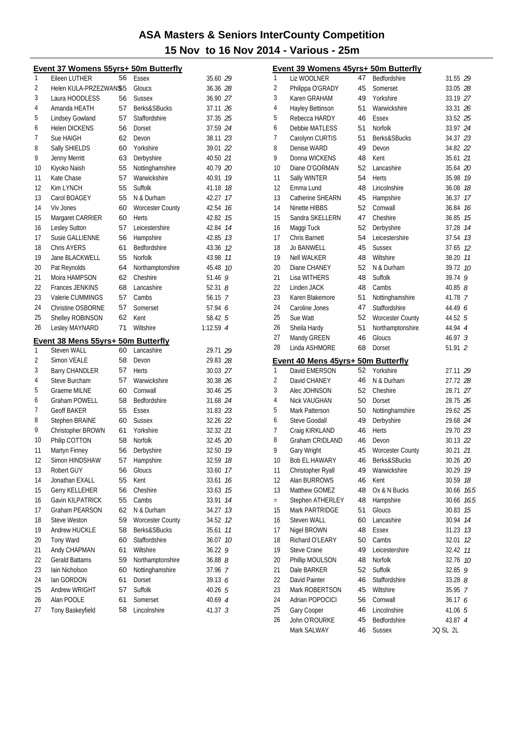|    | Event 37 Womens 55yrs+ 50m Butterfly                     |    |                         |             |
|----|----------------------------------------------------------|----|-------------------------|-------------|
| 1  | Eileen LUTHER                                            | 56 | <b>Essex</b>            | 35.60 29    |
| 2  | Helen KULA-PRZEZWAN\$5                                   |    | Gloucs                  | 36.36 28    |
| 3  | Laura HOODLESS                                           | 56 | <b>Sussex</b>           | 36.90 27    |
| 4  | Amanda HEATH                                             | 57 | Berks&SBucks            | 37.11 26    |
| 5  | <b>Lindsey Gowland</b>                                   | 57 | Staffordshire           | 37.35 25    |
| 6  | <b>Helen DICKENS</b>                                     | 56 | Dorset                  | 37.59 24    |
| 7  | Sue HAIGH                                                | 62 | Devon                   | 38.11 23    |
| 8  | Sally SHIELDS                                            | 60 | Yorkshire               | 39.01 22    |
| 9  | Jenny Merritt                                            | 63 | Derbyshire              | 40.50 21    |
| 10 | Kiyoko Naish                                             | 55 | Nottinghamshire         | 40.79 20    |
| 11 | Kate Chase                                               | 57 | Warwickshire            | 40.91 19    |
| 12 | Kim LYNCH                                                | 55 | Suffolk                 | 41.18 18    |
| 13 | Carol BOAGEY                                             | 55 | N & Durham              | 42.27 17    |
| 14 | Viv Jones                                                | 60 | <b>Worcester County</b> | 42.54 16    |
| 15 | Margaret CARRIER                                         | 60 | Herts                   | 42.82 15    |
| 16 | Lesley Sutton                                            | 57 | Leicestershire          | 14<br>42.84 |
| 17 | <b>Susie GALLIENNE</b>                                   | 56 | Hampshire               | 42.85 13    |
| 18 | <b>Chris AYERS</b>                                       | 61 | Bedfordshire            | 43.36 12    |
| 19 | Jane BLACKWELL                                           | 55 | <b>Norfolk</b>          | 43.98 11    |
| 20 | Pat Reynolds                                             | 64 | Northamptonshire        | 45.48 10    |
| 21 | Moira HAMPSON                                            | 62 | Cheshire                | 51.46 $9$   |
| 22 | <b>Frances JENKINS</b>                                   | 68 | Lancashire              | 52.318      |
| 23 | Valerie CUMMINGS                                         | 57 | Cambs                   | 56.15 7     |
| 24 | Christine OSBORNE                                        | 57 | Somerset                | 57.94 6     |
| 25 | Shelley ROBINSON                                         | 62 | Kent                    | 58.42 5     |
| 26 | Lesley MAYNARD                                           | 71 | Wiltshire               | 1:12.59 4   |
|    |                                                          |    |                         |             |
|    |                                                          |    |                         |             |
| 1  | Event 38 Mens 55yrs+ 50m Butterfly<br><b>Steven WALL</b> | 60 | Lancashire              | 29.71 29    |
| 2  | Simon VEALE                                              | 58 | Devon                   | 29.83 28    |
| 3  | <b>Barry CHANDLER</b>                                    | 57 | Herts                   | 30.03 27    |
| 4  | Steve Burcham                                            | 57 | Warwickshire            | 30.38 26    |
| 5  | <b>Graeme MILNE</b>                                      | 60 | Cornwall                | 30.46 25    |
| 6  | <b>Graham POWELL</b>                                     | 58 | Bedfordshire            | 31.68 24    |
| 7  | <b>Geoff BAKER</b>                                       | 55 | Essex                   | 31.83 23    |
| 8  | <b>Stephen BRAINE</b>                                    | 60 | <b>Sussex</b>           | 32.26 22    |
| 9  | Christopher BROWN                                        | 61 | Yorkshire               | 32.32 21    |
| 10 | Philip COTTON                                            | 58 | Norfolk                 | 32.45 20    |
| 11 | Martyn Finney                                            | 56 | Derbyshire              | 32.50 19    |
| 12 | Simon HINDSHAW                                           | 57 | Hampshire               | 32.59 18    |
| 13 | Robert GUY                                               | 56 | Gloucs                  | 33.60<br>17 |
| 14 | Jonathan EXALL                                           | 55 | Kent                    | 33.61<br>16 |
| 15 | <b>Gerry KELLEHER</b>                                    | 56 | Cheshire                | 33.63<br>15 |
| 16 | Gavin KILPATRICK                                         | 55 | Cambs                   | 14<br>33.91 |
| 17 | Graham PEARSON                                           | 62 | N & Durham              | 13<br>34.27 |
| 18 | <b>Steve Weston</b>                                      | 59 | <b>Worcester County</b> | 34.52<br>12 |
| 19 | Andrew HUCKLE                                            | 58 | Berks&SBucks            | 11<br>35.61 |
| 20 | Tony Ward                                                | 60 | Staffordshire           | 36.07<br>10 |
| 21 | Andy CHAPMAN                                             | 61 | Wiltshire               | 36.22<br>9  |
| 22 | Gerald Battams                                           | 59 | Northamptonshire        | $36.88$ $8$ |
| 23 | Iain Nicholson                                           | 60 | Nottinghamshire         | 37.96 7     |
| 24 | lan GORDON                                               | 61 | Dorset                  | 39.13 6     |
| 25 | Andrew WRIGHT                                            | 57 | Suffolk                 | 40.265      |
| 26 | Alan POOLE                                               | 61 | Somerset                | 40.69 4     |
| 27 | Tony Baskeyfield                                         | 58 | Lincolnshire            | 41.37 3     |

|     | <u>Event 39 Womens 45yrs+ 50m Butterfly</u> |    |                         |           |      |
|-----|---------------------------------------------|----|-------------------------|-----------|------|
| 1   | Liz WOOLNER                                 | 47 | Bedfordshire            | 31.55 29  |      |
| 2   | Philippa O'GRADY                            | 45 | Somerset                | 33.05 28  |      |
| 3   | Karen GRAHAM                                | 49 | Yorkshire               | 33.19 27  |      |
| 4   | Hayley Bettinson                            | 51 | Warwickshire            | 33.31 26  |      |
| 5   | Rebecca HARDY                               | 46 | Essex                   | 33.52 25  |      |
| 6   | Debbie MATLESS                              | 51 | Norfolk                 | 33.97 24  |      |
| 7   | Carolynn CURTIS                             | 51 | Berks&SBucks            | 34.37 23  |      |
| 8   | Denise WARD                                 | 49 | Devon                   | 34.82 22  |      |
| 9   | Donna WICKENS                               | 48 | Kent                    | 35.61 21  |      |
| 10  | Diane O'GORMAN                              | 52 | Lancashire              | 35.64 20  |      |
| 11  | Sally WINTER                                | 54 | <b>Herts</b>            | 35.98 19  |      |
| 12  | Emma Lund                                   | 48 | Lincolnshire            | 36.08 18  |      |
| 13  | Catherine SHEARN                            | 45 | Hampshire               | 36.37 17  |      |
| 14  | Ninette HIBBS                               | 52 | Cornwall                | 36.84 16  |      |
| 15  | Sandra SKELLERN                             | 47 | Cheshire                | 36.85 15  |      |
| 16  | Maggi Tuck                                  | 52 | Derbyshire              | 37.28 14  |      |
| 17  | <b>Chris Barnett</b>                        | 54 | Leicestershire          | 37.54 13  |      |
| 18  | <b>Jo BANWELL</b>                           | 45 | <b>Sussex</b>           | 37.65 12  |      |
| 19  | <b>Nell WALKER</b>                          | 48 | Wiltshire               | 38.20 11  |      |
| 20  | Diane CHANEY                                | 52 | N & Durham              | 39.72 10  |      |
| 21  | <b>Lisa WITHERS</b>                         | 48 | Suffolk                 | 39.74 9   |      |
| 22  | Linden JACK                                 | 48 | Cambs                   | 40.85 $8$ |      |
| 23  | Karen Blakemore                             | 51 | Nottinghamshire         | 41.78 7   |      |
| 24  | Caroline Jones                              | 47 | Staffordshire           | 44.49 6   |      |
| 25  | Sue Watt                                    | 52 | <b>Worcester County</b> | 44.52 5   |      |
| 26  | Sheila Hardy                                | 51 | Northamptonshire        | 44.94 4   |      |
| 27  |                                             | 46 | Gloucs                  | 46.97 3   |      |
|     | Mandy GREEN                                 |    |                         |           |      |
|     |                                             |    |                         |           |      |
| 28  | Linda ASHMORE                               | 68 | Dorset                  | 51.91 2   |      |
|     | Event 40 Mens 45yrs+ 50m Butterfly          |    |                         |           |      |
| 1   | David EMERSON                               | 52 | Yorkshire               | 27.11 29  |      |
| 2   | David CHANEY                                | 46 | N & Durham              | 27.72 28  |      |
| 3   | Alec JOHNSON                                | 52 | Cheshire                | 28.71 27  |      |
| 4   | Nick VAUGHAN                                | 50 | Dorset                  | 28.75 26  |      |
| 5   | Mark Patterson                              | 50 | Nottinghamshire         | 29.62 25  |      |
| 6   | <b>Steve Goodall</b>                        | 49 | Derbyshire              | 29.68 24  |      |
| 7   | Craig KIRKLAND                              | 46 | Herts                   | 29.70 23  |      |
| 8   | Graham CRIDLAND                             | 46 | Devon                   | 30.13 22  |      |
| 9   | Gary Wright                                 | 45 | <b>Worcester County</b> | 30.21 21  |      |
| 10  | Bob EL HAWARY                               | 46 | Berks&SBucks            | 30.26 20  |      |
| 11  | Christopher Ryall                           | 49 | Warwickshire            | 30.29     | 19   |
| 12  | Alan BURROWS                                | 46 | Kent                    | 30.59     | 18   |
| 13  | Matthew GOMEZ                               | 48 | Ox & N Bucks            | 30.66     | 16.5 |
| $=$ | Stephen ATHERLEY                            | 48 | Hampshire               | 30.66     | 16.5 |
| 15  | Mark PARTRIDGE                              | 51 | Gloucs                  | 30.83     | 15   |
| 16  | Steven WALL                                 | 60 | Lancashire              | 30.94     | 14   |
| 17  | Nigel BROWN                                 | 48 | <b>Essex</b>            | 31.23     | 13   |
| 18  | Richard O'LEARY                             | 50 | Cambs                   | 32.01     | 12   |
| 19  | <b>Steve Crane</b>                          | 49 | Leicestershire          | 32.42     | 11   |
| 20  | Phillip MOULSON                             | 48 | Norfolk                 | 32.76     | 10   |
| 21  | Dale BARKER                                 | 52 | Suffolk                 | 32.85     | 9    |
| 22  | David Painter                               | 46 | Staffordshire           | 33.288    |      |
| 23  | Mark ROBERTSON                              | 45 | Wiltshire               | 35.95 7   |      |
| 24  | Adrian POPOCICI                             | 56 | Cornwall                | 36.17 6   |      |
| 25  | Gary Cooper                                 | 46 | Lincolnshire            | 41.06 5   |      |
| 26  | John O'ROURKE                               | 45 | Bedfordshire            | 43.87 4   |      |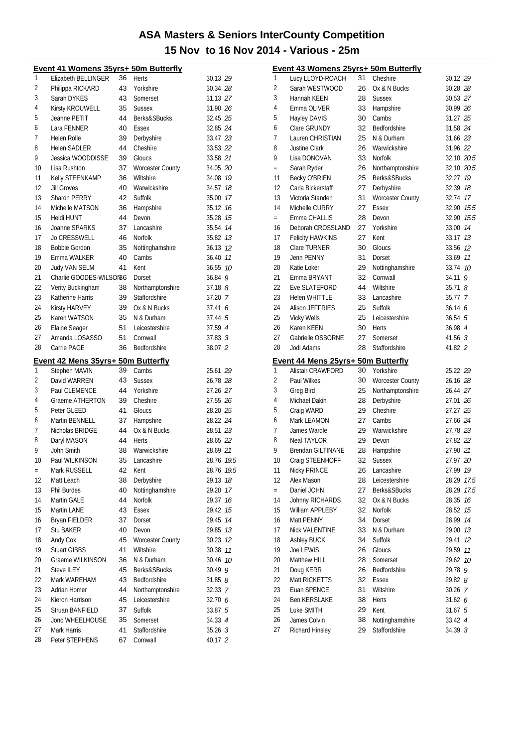|          | Event 41 Womens 35yrs+ 50m Butterfly |          |                           |                      |    |
|----------|--------------------------------------|----------|---------------------------|----------------------|----|
| 1        | Elizabeth BELLINGER                  | 36       | <b>Herts</b>              | 30.13 29             |    |
| 2        | Philippa RICKARD                     | 43       | Yorkshire                 | 30.34 28             |    |
| 3        | Sarah DYKES                          | 43       | Somerset                  | 31.13 27             |    |
| 4        | Kirsty KROUWELL                      | 35       | <b>Sussex</b>             | 31.90 26             |    |
| 5        | Jeanne PETIT                         | 44       | <b>Berks&amp;SBucks</b>   | 32.45 25             |    |
| 6        | Lara FENNER                          | 40       | Essex                     | 32.85 24             |    |
| 7        | Helen Rolle                          | 39       | Derbyshire                | 33.47 23             |    |
| 8        | <b>Helen SADLER</b>                  | 44       | Cheshire                  | 33.53 22             |    |
| 9        | Jessica WOODDISSE                    | 39       | Gloucs                    | 33.58 21             |    |
| 10       | Lisa Rushton                         | 37       | <b>Worcester County</b>   | 34.05 20             |    |
| 11       | Kelly STEENKAMP                      | 36       | Wiltshire                 | 34.08 19             |    |
| 12       | Jill Groves                          | 40       | Warwickshire              | 34.57 18             |    |
| 13       | <b>Sharon PERRY</b>                  | 42       | Suffolk                   | 35.00 17             |    |
| 14       | Michelle MATSON                      | 36       | Hampshire                 | 35.12 76             |    |
| 15       | Heidi HUNT                           | 44       | Devon                     | 35.28 15             |    |
| 16       | Joanne SPARKS                        | 37       | Lancashire                | 35.54 74             |    |
| 17       | <b>Jo CRESSWELL</b>                  | 46       | Norfolk                   | 35.82 13             |    |
| 18       | <b>Bobbie Gordon</b>                 | 35       | Nottinghamshire           | 36.13 12             |    |
| 19       | Emma WALKER                          | 40       | Cambs                     | 36.40 11             |    |
| 20       | <b>Judy VAN SELM</b>                 | 41       | Kent                      | 36.55 10             |    |
| 21       | Charlie GOODES-WILSON86              |          | Dorset                    | 36.84 9              |    |
| 22       | Verity Buckingham                    | 38       | Northamptonshire          | $37.18$ $8$          |    |
| 23       | Katherine Harris                     | 39       | Staffordshire             | 37.20 7              |    |
| 24       | Kirsty HARVEY                        | 39       | Ox & N Bucks              | 37.41                | 6  |
| 25       | Karen WATSON                         | 35       | N & Durham                | 37.44 5              |    |
| 26       | Elaine Seager                        | 51       | Leicestershire            | 37.59 4              |    |
| 27       | Amanda LOSASSO                       | 51       | Cornwall                  | $37.83 \t3$          |    |
| 28       | Carrie PAGE                          | 36       | Bedfordshire              | 38.07 2              |    |
|          | Event 42 Mens 35yrs+ 50m Butterfly   |          |                           |                      |    |
| 1        | Stephen MAVIN                        | 39       | Cambs                     | 25.61 29             |    |
| 2        | David WARREN                         | 43       | <b>Sussex</b>             | 26.78 28             |    |
| 3        | Paul CLEMENCE                        | 44       | Yorkshire                 | 27.26 27             |    |
| 4        | Graeme ATHERTON                      | 39       | Cheshire                  | 27.55 26             |    |
| 5        | Peter GLEED                          | 41       | Gloucs                    | 28.20 25             |    |
| 6        | Martin BENNELL                       | 37       | Hampshire                 | 28.22 24             |    |
| 7        | Nicholas BRIDGE                      | 44       | Ox & N Bucks              | 28.51 23             |    |
| 8        | Daryl MASON                          | 44       | Herts                     | 28.65 22             |    |
| 9        | John Smith                           | 38       | Warwickshire              | 28.69 21             |    |
| 10       | Paul WILKINSON                       |          | 35 Lancashire             | 28.76 19.5           |    |
| $=$      | Mark RUSSELL                         | 42       | Kent                      | 28.76 19.5           |    |
| 12       | Matt Leach                           | 38       | Derbyshire                | 29.13                | 18 |
| 13       | Phil Burdes                          | 40       | Nottinghamshire           | 29.20 17             |    |
| 14       | Martin GALE                          | 44       | Norfolk                   | 29.37                | 16 |
| 15       | Martin LANE                          | 43       | <b>Essex</b>              | 29.42 15             |    |
| 16       | <b>Bryan FIELDER</b>                 | 37       | Dorset                    | 29.45                | 14 |
| 17       | <b>Stu BAKER</b>                     | 40       | Devon                     | 29.85 13             |    |
| 18       | Andy Cox                             | 45       | <b>Worcester County</b>   | 30.23                | 12 |
| 19       | <b>Stuart GIBBS</b>                  | 41       | Wiltshire                 | 30.38 11             |    |
| 20       | Graeme WILKINSON                     | 36       | N & Durham                | 30.46 10             |    |
| 21       | <b>Steve ILEY</b>                    | 45       | Berks&SBucks              | $30.49$ 9            |    |
| 22       | Mark WAREHAM                         | 43       | Bedfordshire              | $31.85$ $8$          |    |
| 23       | Adrian Homer                         | 44       | Northamptonshire          | 32.33 7              |    |
| 24       | Kieron Harrison                      | 45       | Leicestershire            | 32.70 6              |    |
| 25       | Struan BANFIELD                      | 37       | Suffolk                   | 33.87 5              |    |
|          |                                      |          |                           |                      |    |
| 26       | Jono WHEELHOUSE                      | 35       | Somerset                  | 34.33 4              |    |
| 27<br>28 | Mark Harris<br>Peter STEPHENS        | 41<br>67 | Staffordshire<br>Cornwall | $35.26$ 3<br>40.17 2 |    |

|     | Event 43 Womens 25yrs+ 50m Butterfly       |    |                         |             |      |
|-----|--------------------------------------------|----|-------------------------|-------------|------|
| 1   | Lucy LLOYD-ROACH                           | 31 | Cheshire                | 30.12 29    |      |
| 2   | Sarah WESTWOOD                             | 26 | Ox & N Bucks            | 30.28 28    |      |
| 3   | Hannah KEEN                                | 28 | <b>Sussex</b>           | 30.53 27    |      |
| 4   | Emma OLIVER                                | 33 | Hampshire               | 30.99 26    |      |
| 5   | Hayley DAVIS                               | 30 | Cambs                   | 31.27 25    |      |
| 6   | Clare GRUNDY                               | 32 | Bedfordshire            | 31.58 24    |      |
| 7   | Lauren CHRISTIAN                           | 25 | N & Durham              | 31.66 23    |      |
| 8   | <b>Justine Clark</b>                       | 26 | Warwickshire            | 31.96 22    |      |
| 9   | Lisa DONOVAN                               | 33 | Norfolk                 | 32.10 20.5  |      |
| $=$ | Sarah Ryder                                | 26 | Northamptonshire        | 32.10 20.5  |      |
| 11  | Becky O'BRIEN                              | 25 | Berks&SBucks            | 32.27       | 19   |
| 12  | Carla Bickerstaff                          | 27 | Derbyshire              | 32.39 18    |      |
| 13  | Victoria Standen                           | 31 | <b>Worcester County</b> | 32.74 17    |      |
| 14  | Michelle CURRY                             | 27 | Essex                   | 32.90 15.5  |      |
| $=$ | Emma CHALLIS                               | 28 | Devon                   | 32.90 75.5  |      |
| 16  | Deborah CROSSLAND                          | 27 | Yorkshire               | 33.00       | 14   |
| 17  | <b>Felicity HAWKINS</b>                    | 27 | Kent                    | 33.17       | 13   |
| 18  |                                            |    | Gloucs                  |             |      |
|     | Clare TURNER                               | 30 |                         | 33.56       | 12   |
| 19  | Jenn PENNY                                 | 31 | Dorset                  | 33.69       | 11   |
| 20  | Katie Loker                                | 29 | Nottinghamshire         | 33.74       | 10   |
| 21  | Emma BRYANT                                | 32 | Cornwall                | 34.11       | 9    |
| 22  | Eve SLATEFORD                              | 44 | Wiltshire               | $35.71$ $8$ |      |
| 23  | <b>Helen WHITTLE</b>                       | 33 | Lancashire              | 35.77 7     |      |
| 24  | Alison JEFFRIES                            | 25 | Suffolk                 | 36.146      |      |
| 25  | <b>Vicky Wells</b>                         | 25 | Leicestershire          | 36.545      |      |
| 26  | Karen KEEN                                 | 30 | <b>Herts</b>            | 36.98 4     |      |
| 27  | Gabrielle OSBORNE                          | 27 | Somerset                | $41.56$ 3   |      |
| 28  | Jodi Adams                                 | 28 | Staffordshire           | 41.82 2     |      |
|     | <u> Event 44 Mens 25yrs+ 50m Butterfly</u> |    |                         |             |      |
| 1   | <b>Alistair CRAWFORD</b>                   | 30 | Yorkshire               | 25.22 29    |      |
| 2   | Paul Wilkes                                | 30 | <b>Worcester County</b> | 26.16 28    |      |
| 3   | Greg Bird                                  | 25 | Northamptonshire        | 26.44 27    |      |
| 4   | Michael Dakin                              | 28 | Derbyshire              | 27.01 26    |      |
| 5   | Craig WARD                                 | 29 | Cheshire                | 27.27 25    |      |
| 6   | Mark LEAMON                                | 27 | Cambs                   | 27.66 24    |      |
| 7   | James Wardle                               | 29 | Warwickshire            | 27.78 23    |      |
| 8   | <b>Neal TAYLOR</b>                         | 29 | Devon                   | 27.82 22    |      |
| 9   | <b>Brendan GILTINANE</b>                   | 28 |                         | 27.90 21    |      |
| 10  |                                            | 32 | Hampshire               |             |      |
|     | Craig STEENHOFF                            |    | Sussex                  | 27.97 20    |      |
| 11  | Nicky PRINCE                               | 26 | Lancashire              | 27.99       | 19   |
| 12  | Alex Mason                                 | 28 | Leicestershire          | 28.29       | 17.5 |
| $=$ | Daniel JOHN                                | 27 | Berks&SBucks            | 28.29       | 17.5 |
| 14  | Johnny RICHARDS                            | 32 | Ox & N Bucks            | 28.35       | 16   |
| 15  | William APPLEBY                            | 32 | Norfolk                 | 28.52       | 15   |
| 16  | Matt PENNY                                 | 34 | Dorset                  | 28.99       | 14   |
| 17  | Nick VALENTINE                             | 33 | N & Durham              | 29.00       | 13   |
| 18  | Ashley BUCK                                | 34 | Suffolk                 | 29.41       | 12   |
| 19  | Joe LEWIS                                  | 26 | Gloucs                  | 29.59       | 11   |
| 20  | Matthew HILL                               | 28 | Somerset                | 29.62       | 10   |
| 21  | Doug KERR                                  | 26 | Bedfordshire            | 29.78 9     |      |
| 22  | Matt RICKETTS                              | 32 | Essex                   | 29.82 8     |      |
| 23  | Euan SPENCE                                | 31 | Wiltshire               | 30.26 7     |      |
| 24  | <b>Ben KERSLAKE</b>                        | 38 | Herts                   | 31.626      |      |
| 25  | Luke SMITH                                 | 29 | Kent                    | 31.675      |      |
| 26  | James Colvin                               | 38 | Nottinghamshire         | 33.42 4     |      |
| 27  | Richard Hinsley                            | 29 | Staffordshire           | 34.39 3     |      |
|     |                                            |    |                         |             |      |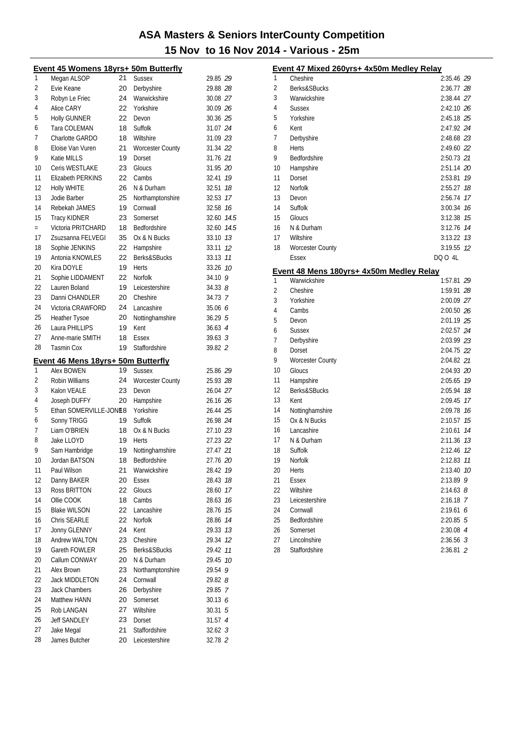|          | <b>Event 45 Womens 18yrs+ 50m Butterfly</b> |          |                         |                               |    |
|----------|---------------------------------------------|----------|-------------------------|-------------------------------|----|
| 1        | Megan ALSOP                                 | 21       | <b>Sussex</b>           | 29.85 29                      |    |
| 2        | Evie Keane                                  | 20       | Derbyshire              | 29.88 28                      |    |
| 3        | Robyn Le Friec                              | 24       | Warwickshire            | 30.08 27                      |    |
| 4        | Alice CARY                                  | 22       | Yorkshire               | 30.09 26                      |    |
| 5        | <b>Holly GUNNER</b>                         | 22       | Devon                   | 30.36 25                      |    |
| 6        | Tara COLEMAN                                | 18       | Suffolk                 | 31.07 24                      |    |
| 7        | Charlotte GARDO                             | 18       | Wiltshire               | 31.09 23                      |    |
| 8        | Eloise Van Vuren                            | 21       | <b>Worcester County</b> | 31.34 22                      |    |
| 9        | Katie MILLS                                 | 19       | Dorset                  | 31.76 21                      |    |
| 10       | Ceris WESTLAKE                              | 23       | Gloucs                  | 31.95 20                      |    |
| 11       | Elizabeth PERKINS                           | 22       | Cambs                   | 32.41                         | 19 |
| 12       | <b>Holly WHITE</b>                          | 26       | N & Durham              | 32.51                         | 18 |
| 13       | Jodie Barber                                | 25       | Northamptonshire        | 32.53 17                      |    |
| 14       | Rebekah JAMES                               | 19       | Cornwall                | 32.58 16                      |    |
| 15       | <b>Tracy KIDNER</b>                         | 23       | Somerset                | 32.60 74.5                    |    |
| $=$      | Victoria PRITCHARD                          | 18       | Bedfordshire            | 32.60 74.5                    |    |
| 17       | Zsuzsanna FELVEGI                           | 35       | Ox & N Bucks            | 33.10 13                      |    |
| 18       | Sophie JENKINS                              | 22       | Hampshire               | 33.11                         | 12 |
| 19       | Antonia KNOWLES                             | 22       | <b>Berks&amp;SBucks</b> | 33.13                         | 11 |
| 20       | Kira DOYLE                                  | 19       | <b>Herts</b>            | 33.26                         | 10 |
| 21       | Sophie LIDDAMENT                            | 22       | <b>Norfolk</b>          | 34.10 9                       |    |
| 22       | Lauren Boland                               | 19       | Leicestershire          | 34.33B                        |    |
| 23       | Danni CHANDLER                              | 20       | Cheshire                | 34.73 7                       |    |
| 24       | Victoria CRAWFORD                           | 24       | Lancashire              | 35.06 6                       |    |
| 25       | <b>Heather Tysoe</b>                        | 20       | Nottinghamshire         | 36.295                        |    |
| 26       | Laura PHILLIPS                              | 19       | Kent                    | $36.63 \text{ } 4$            |    |
| 27       | Anne-marie SMITH                            | 18       | Essex                   | $39.63 \text{ } 3$            |    |
| 28       | <b>Tasmin Cox</b>                           | 19       | Staffordshire           | 39.82 2                       |    |
|          | <u>Event 46 Mens 18yrs+ 50m Butterfly</u>   |          |                         |                               |    |
| 1        | Alex BOWEN                                  | 19       | <b>Sussex</b>           | 25.86 29                      |    |
| 2        | Robin Williams                              | 24       | <b>Worcester County</b> | 25.93 28                      |    |
| 3        | Kalon VEALE                                 | 23       | Devon                   | 26.04 27                      |    |
| 4        | Joseph DUFFY                                | 20       | Hampshire               | 26.16 26                      |    |
| 5        | Ethan SOMERVILLE-JONE8                      |          | Yorkshire               | 26.44 25                      |    |
| 6        | Sonny TRIGG                                 | 19       | Suffolk                 | 26.98 24                      |    |
| 7        | Liam O'BRIEN                                | 18       | Ox & N Bucks            | 27.10 23                      |    |
| 8        | Jake LLOYD                                  | 19       | Herts                   | 27.23 22                      |    |
| 9        | Sam Hambridge                               | 19       | Nottinghamshire         | 27.47 21                      |    |
| 10       | Jordan BATSON                               | 18       | Bedfordshire            | 27.76 20                      |    |
| 11       | Paul Wilson                                 | 21       | Warwickshire            | 28.42                         | 19 |
| 12       | Danny BAKER                                 | 20       | Essex                   | 28.43                         | 18 |
| 13       | Ross BRITTON                                |          |                         |                               | 17 |
| 14       |                                             | 22       | Gloucs                  | 28.60                         |    |
|          | Ollie COOK                                  | 18       | Cambs                   | 28.63 76                      |    |
| 15       | <b>Blake WILSON</b>                         | 22       | Lancashire              | 28.76 15                      |    |
| 16       | Chris SEARLE                                | 22       | Norfolk                 | 28.86 14                      |    |
| 17       | Jonny GLENNY                                | 24       | Kent                    | 29.33                         | 13 |
| 18       | Andrew WALTON                               | 23       | Cheshire                | 29.34                         | 12 |
| 19       | Gareth FOWLER                               | 25       | Berks&SBucks            | 29.42 11                      |    |
| 20       | Callum CONWAY                               | 20       | N & Durham              | 29.45                         | 10 |
| 21       | Alex Brown                                  | 23       | Northamptonshire        | 29.54                         | 9  |
| 22       | <b>Jack MIDDLETON</b>                       | 24       | Cornwall                | 29.82 <i>8</i>                |    |
| 23       | <b>Jack Chambers</b>                        | 26       | Derbyshire              | 29.85 7                       |    |
| 24       | Matthew HANN                                | 20       | Somerset                | 30.136                        |    |
| 25       | Rob LANGAN                                  | 27       | Wiltshire               | 30.31 5                       |    |
| 26       | <b>Jeff SANDLEY</b>                         | 23       | Dorset                  | 31.57 4                       |    |
| 27<br>28 | Jake Megal<br>James Butcher                 | 21<br>20 | Staffordshire           | $32.62 \text{ } 3$<br>32.78 2 |    |

|    | Event 47 Mixed 260yrs+ 4x50m Medley Relay |               |    |
|----|-------------------------------------------|---------------|----|
| 1  | Cheshire                                  | 2:35.46 29    |    |
| 2  | Berks&SBucks                              | 2:36.77 28    |    |
| 3  | Warwickshire                              | 2:38.44 27    |    |
| 4  | Sussex                                    | 2:42.10 26    |    |
| 5  | Yorkshire                                 | 2:45.18 25    |    |
| 6  | Kent                                      | 2:47.92 24    |    |
| 7  | Derbyshire                                | 2:48.68 23    |    |
| 8  | Herts                                     | 2:49.60 22    |    |
| 9  | Bedfordshire                              | 2:50.73 21    |    |
| 10 | Hampshire                                 | 2:51.14 20    |    |
| 11 | Dorset                                    | 2:53.81 19    |    |
| 12 | Norfolk                                   | 2:55.27       | 18 |
| 13 | Devon                                     | 2:56.74       | 17 |
| 14 | Suffolk                                   | 3:00.34 76    |    |
| 15 | Gloucs                                    | 3:12.38 75    |    |
| 16 | N & Durham                                | 3:12.76 74    |    |
| 17 | Wiltshire                                 | $3:13.22$ 13  |    |
| 18 | <b>Worcester County</b>                   | 3:19.55 12    |    |
|    | Essex                                     | DQ 0 4L       |    |
|    | Event 48 Mens 180yrs+ 4x50m Medley Relay  |               |    |
| 1  | Warwickshire                              | 1:57.81 29    |    |
| 2  | Cheshire                                  | 1:59.91 28    |    |
| 3  | Yorkshire                                 | 2:00.09 27    |    |
| 4  | Cambs                                     | 2:00.50 26    |    |
| 5  | Devon                                     | 2:01.19 25    |    |
| 6  | <b>Sussex</b>                             | 2:02.57 24    |    |
| 7  | Derbyshire                                | 2:03.99 23    |    |
| 8  | Dorset                                    | 2:04.75 22    |    |
| 9  | <b>Worcester County</b>                   | 2:04.82 21    |    |
| 10 | Gloucs                                    | 2:04.93 20    |    |
| 11 | Hampshire                                 | 2:05.65 19    |    |
| 12 | Berks&SBucks                              | 2:05.94       | 18 |
| 13 | Kent                                      | 2:09.45       | 17 |
| 14 | Nottinghamshire                           | 2:09.78       | 16 |
| 15 | Ox & N Bucks                              | 2:10.57       | 15 |
| 16 | Lancashire                                | 2:10.61       | 14 |
| 17 | N & Durham                                | 2:11.36       | 13 |
| 18 | Suffolk                                   | 2:12.46       | 12 |
| 19 | Norfolk                                   | 2:12.83 11    |    |
| 20 | Herts                                     | 2:13.40       | 10 |
| 21 | <b>Essex</b>                              | 2:13.89       | 9  |
| 22 | Wiltshire                                 | $2:14.63$ $8$ |    |
| 23 | Leicestershire                            | $2:16.18$ 7   |    |
| 24 | Cornwall                                  | 2:19.616      |    |
| 25 | Bedfordshire                              | $2:20.85$ 5   |    |
| 26 | Somerset                                  | 2:30.08 4     |    |
| 27 | Lincolnshire                              | $2:36.56$ 3   |    |
| 28 | Staffordshire                             | $2:36.81$ 2   |    |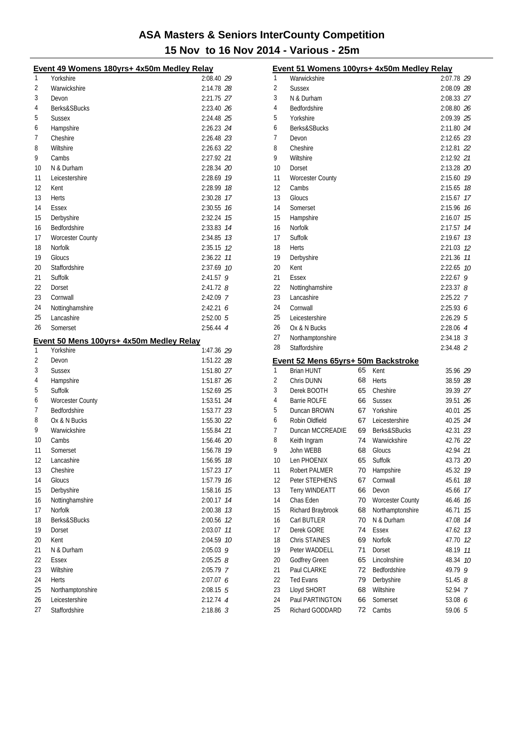|    | Event 49 Womens 180yrs+ 4x50m Medley Relay |             |   |
|----|--------------------------------------------|-------------|---|
| 1  | Yorkshire                                  | 2:08.40 29  |   |
| 2  | Warwickshire                               | 2:14.78 28  |   |
| 3  | Devon                                      | 2:21.75 27  |   |
| 4  | Berks&SBucks                               | 2:23.40 26  |   |
| 5  | <b>Sussex</b>                              | 2:24.48 25  |   |
| 6  | Hampshire                                  | 2:26.23 24  |   |
| 7  | Cheshire                                   | 2:26.48 23  |   |
| 8  | Wiltshire                                  | 2:26.63 22  |   |
| 9  | Cambs                                      | 2:27.92 21  |   |
| 10 | N & Durham                                 | 2:28.34 20  |   |
| 11 | Leicestershire                             | 2:28.69 19  |   |
| 12 | Kent                                       | 2:28.99 18  |   |
| 13 | <b>Herts</b>                               | 2:30.28 17  |   |
| 14 | Essex                                      | 2:30.55 76  |   |
| 15 | Derbyshire                                 | 2:32.24 75  |   |
| 16 | Bedfordshire                               | 2:33.83 14  |   |
| 17 | <b>Worcester County</b>                    | 2:34.85 73  |   |
| 18 | Norfolk                                    | 2:35.15 12  |   |
| 19 | Gloucs                                     | 2:36.22 11  |   |
| 20 | Staffordshire                              | 2:37.69 10  |   |
| 21 | Suffolk                                    | $2:41.57$ 9 |   |
| 22 | Dorset                                     | $2:41.72$ 8 |   |
| 23 | Cornwall                                   | 2:42.09 7   |   |
| 24 | Nottinghamshire                            | 2:42.216    |   |
| 25 | Lancashire                                 | 2:52.005    |   |
| 26 | Somerset                                   | 2:56.44 4   |   |
|    |                                            |             |   |
|    |                                            |             |   |
|    | Event 50 Mens 100yrs+ 4x50m Medley Relay   |             |   |
| 1  | Yorkshire                                  | 1:47.36 29  |   |
| 2  | Devon                                      | 1:51.22 28  |   |
| 3  | <b>Sussex</b>                              | 1:51.80 27  |   |
| 4  | Hampshire                                  | 1:51.87 26  |   |
| 5  | Suffolk                                    | 1:52.69 25  |   |
| 6  | <b>Worcester County</b>                    | 1:53.51 24  |   |
| 7  | <b>Bedfordshire</b>                        | 1:53.77 23  |   |
| 8  | Ox & N Bucks                               | 1:55.30 22  |   |
| 9  | Warwickshire                               | 1:55.84 21  |   |
| 10 | Cambs                                      | 1:56.46 20  |   |
| 11 | Somerset                                   | 1:56.78 79  |   |
| 12 | Lancashire                                 | 1:56.95 18  |   |
| 13 | Cheshire                                   | 1:57.23 17  |   |
| 14 | Gloucs                                     | 1:57.79 16  |   |
| 15 | Derbyshire                                 | 1:58.16 75  |   |
| 16 | Nottinghamshire                            | 2:00.17 14  |   |
| 17 | Norfolk                                    | 2:00.38 73  |   |
| 18 | Berks&SBucks                               | 2:00.56 12  |   |
| 19 | Dorset                                     | 2:03.07 11  |   |
| 20 | Kent                                       | 2:04.59 10  |   |
| 21 | N & Durham                                 | 2:05.03     | 9 |
| 22 | <b>Essex</b>                               | $2:05.25$ 8 |   |
| 23 | Wiltshire                                  | 2:05.79 7   |   |
| 24 | Herts                                      | 2:07.07 6   |   |
| 25 | Northamptonshire                           | $2:08.15$ 5 |   |
| 26 | Leicestershire                             | $2:12.74$ 4 |   |

|    | Event 51 Womens 100yrs+ 4x50m Medley Relay |    |                         |                |    |
|----|--------------------------------------------|----|-------------------------|----------------|----|
| 1  | Warwickshire                               |    |                         | 2:07.78 29     |    |
| 2  | <b>Sussex</b>                              |    |                         | 2:08.09 28     |    |
| 3  | N & Durham                                 |    |                         | 2:08.33 27     |    |
| 4  | Bedfordshire                               |    |                         | 2:08.80 26     |    |
| 5  | Yorkshire                                  |    |                         | 2:09.39 25     |    |
| 6  | Berks&SBucks                               |    |                         | 2:11.80 24     |    |
| 7  | Devon                                      |    |                         | 2:12.65 23     |    |
| 8  | Cheshire                                   |    |                         | 2:12.81 22     |    |
| 9  | Wiltshire                                  |    |                         | 2:12.92 21     |    |
| 10 | Dorset                                     |    |                         | 2:13.28 20     |    |
| 11 | <b>Worcester County</b>                    |    |                         | 2:15.60 79     |    |
| 12 | Cambs                                      |    |                         | 2:15.65 18     |    |
| 13 | Gloucs                                     |    |                         | 2:15.67 17     |    |
| 14 | Somerset                                   |    |                         | 2:15.96 76     |    |
| 15 | Hampshire                                  |    |                         | 2:16.07 15     |    |
| 16 | Norfolk                                    |    |                         | 2:17.57 14     |    |
| 17 | Suffolk                                    |    |                         | 2:19.67 13     |    |
| 18 | <b>Herts</b>                               |    |                         | 2:21.03 12     |    |
| 19 | Derbyshire                                 |    |                         | 2:21.36 11     |    |
| 20 | Kent                                       |    |                         | 2:22.65 10     |    |
| 21 | Essex                                      |    |                         | $2:22.67$ 9    |    |
| 22 | Nottinghamshire                            |    |                         | $2:23.37$ $8$  |    |
| 23 | Lancashire                                 |    |                         | 2:25.22 7      |    |
| 24 | Cornwall                                   |    |                         | 2:25.936       |    |
| 25 | Leicestershire                             |    |                         | $2:26.29$ 5    |    |
| 26 | Ox & N Bucks                               |    |                         | 2:28.06 4      |    |
| 27 | Northamptonshire                           |    |                         | $2:34.18$ 3    |    |
| 28 | Staffordshire                              |    |                         | 2:34.48 2      |    |
|    | Event 52 Mens 65yrs+ 50m Backstroke        |    |                         |                |    |
| 1  | <b>Brian HUNT</b>                          | 65 | Kent                    | 35.96 29       |    |
| 2  | Chris DUNN                                 | 68 | Herts                   | 38.59 28       |    |
| 3  | Derek BOOTH                                | 65 | Cheshire                | 39.39 27       |    |
| 4  | <b>Barrie ROLFE</b>                        | 66 | <b>Sussex</b>           | 39.51 26       |    |
| 5  | Duncan BROWN                               | 67 | Yorkshire               | 40.01 25       |    |
| 6  | Robin Oldfield                             | 67 | Leicestershire          | 40.25 24       |    |
| 7  | Duncan MCCREADIE                           | 69 | Berks&SBucks            | 42.31 23       |    |
| 8  | Keith Ingram                               | 74 | Warwickshire            | 42.76 22       |    |
| 9  | John WEBB                                  | 68 | Gloucs                  | 42.94 21       |    |
| 10 | Len PHOENIX                                | 65 | Suffolk                 | 43.73 20       |    |
| 11 | Robert PALMER                              | 70 | Hampshire               | 45.32 19       |    |
| 12 | Peter STEPHENS                             | 67 | Cornwall                | 45.61          | 18 |
| 13 | <b>Terry WINDEATT</b>                      | 66 | Devon                   | 45.66          | 17 |
| 14 | Chas Eden                                  | 70 | <b>Worcester County</b> | 46.46          | 16 |
| 15 | Richard Braybrook                          | 68 | Northamptonshire        | 46.71          | 15 |
| 16 | Carl BUTLER                                | 70 | N & Durham              | 47.08          | 14 |
| 17 | Derek GORE                                 | 74 | <b>Essex</b>            | 47.62          | 13 |
| 18 | Chris STAINES                              | 69 | Norfolk                 | 47.70          | 12 |
| 19 | Peter WADDELL                              | 71 | Dorset                  | 48.19          | 11 |
| 20 | Godfrey Green                              | 65 | Lincolnshire            | 48.34          | 10 |
| 21 | Paul CLARKE                                | 72 | Bedfordshire            | 49.79          | 9  |
| 22 | <b>Ted Evans</b>                           | 79 | Derbyshire              | 51.45 <i>8</i> |    |
| 23 | Lloyd SHORT                                | 68 | Wiltshire               | 52.94          | 7  |
| 24 | Paul PARTINGTON                            | 66 | Somerset                | 53.08 6        |    |
| 25 | Richard GODDARD                            | 72 | Cambs                   | 59.06 5        |    |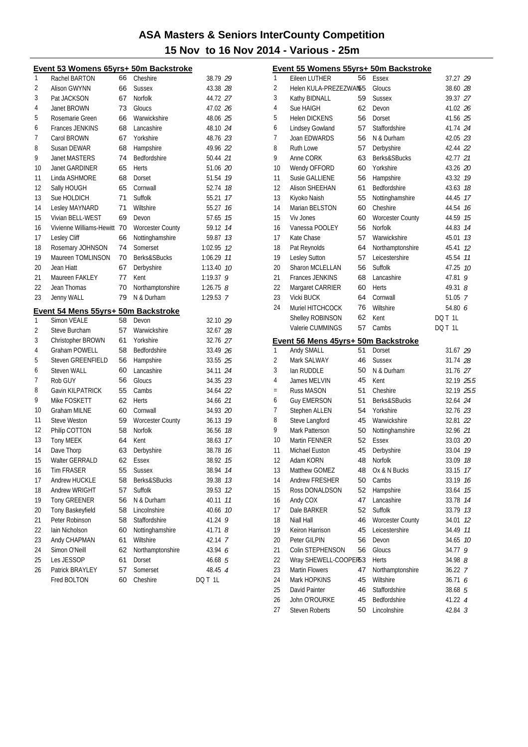|    | Event 53 Womens 65yrs+ 50m Backstroke |    |                         |               |
|----|---------------------------------------|----|-------------------------|---------------|
| 1  | Rachel BARTON                         | 66 | Cheshire                | 38.79 29      |
| 2  | Alison GWYNN                          | 66 | <b>Sussex</b>           | 43.38 28      |
| 3  | Pat JACKSON                           | 67 | Norfolk                 | 44.72 27      |
| 4  | Janet BROWN                           | 73 | Gloucs                  | 47.02 26      |
| 5  | Rosemarie Green                       | 66 | Warwickshire            | 48.06 25      |
| 6  | <b>Frances JENKINS</b>                | 68 | Lancashire              | 48.10 24      |
| 7  | Carol BROWN                           | 67 | Yorkshire               | 48.76 23      |
| 8  | Susan DEWAR                           | 68 | Hampshire               | 49.96 22      |
| 9  | Janet MASTERS                         | 74 | Bedfordshire            | 50.44 21      |
| 10 | <b>Janet GARDINER</b>                 | 65 | <b>Herts</b>            | 51.06 20      |
| 11 | Linda ASHMORE                         | 68 | Dorset                  | 51.54 19      |
| 12 | Sally HOUGH                           | 65 | Cornwall                | 52.74 18      |
| 13 | Sue HOLDICH                           | 71 | Suffolk                 | 55.21 17      |
| 14 | Lesley MAYNARD                        | 71 | Wiltshire               | 55.27 16      |
| 15 | Vivian BELL-WEST                      | 69 | Devon                   | 57.65 15      |
| 16 | Vivienne Williams-Hewitt              | 70 | <b>Worcester County</b> | 59.12 14      |
| 17 | Lesley Cliff                          | 66 | Nottinghamshire         | 59.87 13      |
| 18 | Rosemary JOHNSON                      | 74 | Somerset                | 1:02.95 12    |
| 19 | Maureen TOMLINSON                     | 70 | Berks&SBucks            | 1:06.29 11    |
| 20 | Jean Hiatt                            | 67 | Derbyshire              | 1:13.40 70    |
| 21 | Maureen FAKLEY                        | 77 | Kent                    | 1:19.37 9     |
| 22 | Jean Thomas                           | 70 | Northamptonshire        | $1:26.75$ $8$ |
| 23 | Jenny WALL                            | 79 | N & Durham              | 1:29.53 7     |
|    | Event 54 Mens 55yrs+ 50m Backstroke   |    |                         |               |
| 1  | Simon VEALE                           | 58 | Devon                   | 32.10 29      |
| 2  | Steve Burcham                         | 57 | Warwickshire            | 32.67 28      |
| 3  | Christopher BROWN                     | 61 | Yorkshire               | 32.76 27      |
| 4  | Graham POWELL                         | 58 | Bedfordshire            | 33.49 26      |
| 5  | <b>Steven GREENFIELD</b>              | 56 | Hampshire               | 33.55 25      |
| 6  | Steven WALL                           | 60 | Lancashire              | 34.11 24      |
| 7  | Rob GUY                               | 56 | Gloucs                  | 34.35 23      |
| 8  | Gavin KILPATRICK                      | 55 | Cambs                   | 34.64 22      |
| 9  | Mike FOSKETT                          | 62 | <b>Herts</b>            | 34.66 21      |
| 10 | <b>Graham MILNE</b>                   | 60 | Cornwall                | 34.93 20      |
| 11 | <b>Steve Weston</b>                   | 59 | <b>Worcester County</b> | 36.13 19      |
| 12 | Philip COTTON                         | 58 | Norfolk                 | 36.56 18      |
| 13 | <b>Tony MEEK</b>                      | 64 | Kent                    | 38.63 17      |
| 14 | Dave Thorp                            | 63 | Derbyshire              | 38.78 16      |
| 15 | <b>Walter GERRALD</b>                 | 62 | Essex                   | 38.92 15      |
| 16 | <b>Tim FRASER</b>                     | 55 | <b>Sussex</b>           | 38.94<br>14   |
| 17 | Andrew HUCKLE                         | 58 | Berks&SBucks            | 39.38<br>13   |
| 18 | Andrew WRIGHT                         | 57 | Suffolk                 | 39.53<br>12   |
| 19 | <b>Tony GREENER</b>                   | 56 | N & Durham              | 11<br>40.11   |
| 20 | Tony Baskeyfield                      | 58 | Lincolnshire            | 10<br>40.66   |
| 21 | Peter Robinson                        | 58 | Staffordshire           | 9<br>41.24    |
| 22 | Iain Nicholson                        | 60 | Nottinghamshire         | 41.71 8       |
| 23 | Andy CHAPMAN                          | 61 | Wiltshire               | 42.14 7       |
| 24 | Simon O'Neill                         | 62 | Northamptonshire        | 43.94 6       |
| 25 | Les JESSOP                            | 61 | Dorset                  | 46.68 5       |
|    |                                       |    |                         |               |
| 26 | Patrick BRAYLEY                       | 57 | Somerset                | 48.45 4       |

|     | Event 55 Womens 55yrs+ 50m Backstroke |    |                         |                   |    |
|-----|---------------------------------------|----|-------------------------|-------------------|----|
| 1   | Eileen LUTHER                         | 56 | <b>Essex</b>            | 37.27 29          |    |
| 2   | Helen KULA-PREZEZWAN55                |    | Gloucs                  | 38.60 28          |    |
| 3   | Kathy BIDNALL                         | 59 | <b>Sussex</b>           | 39.37 27          |    |
| 4   | Sue HAIGH                             | 62 | Devon                   | 41.02 26          |    |
| 5   | <b>Helen DICKENS</b>                  | 56 | Dorset                  | 41.56 25          |    |
| 6   | Lindsey Gowland                       | 57 | Staffordshire           | 41.74 24          |    |
| 7   | Joan EDWARDS                          | 56 | N & Durham              | 42.05 23          |    |
| 8   | <b>Ruth Lowe</b>                      | 57 | Derbyshire              | 42.44 22          |    |
| 9   | Anne CORK                             | 63 | Berks&SBucks            | 42.77 21          |    |
| 10  | Wendy OFFORD                          | 60 | Yorkshire               | 43.26 20          |    |
| 11  | Susie GALLIENE                        | 56 | Hampshire               | 43.32 19          |    |
| 12  | Alison SHEEHAN                        | 61 | Bedfordshire            | 43.63 18          |    |
| 13  | Kiyoko Naish                          | 55 | Nottinghamshire         | 44.45 17          |    |
| 14  | Marian BELSTON                        | 60 | Cheshire                | 44.54 16          |    |
| 15  | Viv Jones                             | 60 | <b>Worcester County</b> | 44.59 15          |    |
| 16  | Vanessa POOLEY                        | 56 | <b>Norfolk</b>          | 44.83 14          |    |
| 17  | Kate Chase                            | 57 | Warwickshire            | 45.01             | 13 |
| 18  | Pat Reynolds                          | 64 | Northamptonshire        | 45.41             | 12 |
| 19  | Lesley Sutton                         | 57 | Leicestershire          | 45.54             | 11 |
| 20  | Sharon MCLELLAN                       | 56 | Suffolk                 | 47.25 10          |    |
| 21  | <b>Frances JENKINS</b>                | 68 | Lancashire              | 47.81             | 9  |
| 22  | Margaret CARRIER                      | 60 | Herts                   | 49.31 $8$         |    |
| 23  | <b>Vicki BUCK</b>                     | 64 | Cornwall                | 51.05 7           |    |
| 24  | Muriel HITCHCOCK                      | 76 | Wiltshire               | 54.80 6           |    |
|     | Shelley ROBINSON                      | 62 | Kent                    | DQ T 1L           |    |
|     | Valerie CUMMINGS                      | 57 | Cambs                   | DQ T 1L           |    |
|     | Event 56 Mens 45yrs+ 50m Backstroke   |    |                         |                   |    |
| 1   | Andy SMALL                            | 51 | Dorset                  | 31.67 29          |    |
| 2   | Mark SALWAY                           | 46 | <b>Sussex</b>           | 31.74 28          |    |
| 3   | lan RUDDLE                            | 50 | N & Durham              | 31.76 27          |    |
| 4   | James MELVIN                          | 45 | Kent                    | 32.19 <i>25.5</i> |    |
| $=$ | Russ MASON                            | 51 | Cheshire                | 32.19 25.5        |    |
| 6   | <b>Guy EMERSON</b>                    | 51 | Berks&SBucks            | 32.64 24          |    |
| 7   | Stephen ALLEN                         | 54 | Yorkshire               | 32.76 23          |    |
| 8   | Steve Langford                        | 45 | Warwickshire            | 32.81 22          |    |
| 9   | Mark Patterson                        | 50 | Nottinghamshire         | 32.96 21          |    |
| 10  | Martin FENNER                         | 52 | <b>Essex</b>            | 33.03 20          |    |
| 11  | Michael Euston                        | 45 | Derbyshire              | 33.04 19          |    |
| 12  | Adam KORN                             | 48 | Norfolk                 | 33.09             | 18 |
| 13  | Matthew GOMEZ                         | 48 | Ox & N Bucks            | 33.15             | 17 |
| 14  | Andrew FRESHER                        | 50 | Cambs                   | 33.19             | 16 |
| 15  | Ross DONALDSON                        | 52 | Hampshire               | 33.64             | 15 |
| 16  | Andy COX                              | 47 | Lancashire              | 33.78             | 14 |
| 17  | Dale BARKER                           | 52 | Suffolk                 | 33.79 13          |    |
| 18  | Niall Hall                            | 46 | <b>Worcester County</b> | 34.01             | 12 |
| 19  | Keiron Harrison                       | 45 | Leicestershire          | 34.49             | 11 |
| 20  | Peter GILPIN                          | 56 | Devon                   | 34.65             | 10 |
| 21  | Colin STEPHENSON                      | 56 | Gloucs                  | 34.77             | 9  |
| 22  | Wray SHEWELL-COOPER53                 |    | <b>Herts</b>            | 34.98 8           |    |
| 23  | <b>Martin Flowers</b>                 | 47 | Northamptonshire        | 36.22 7           |    |
| 24  | Mark HOPKINS                          | 45 | Wiltshire               | 36.71 6           |    |
| 25  | David Painter                         | 46 | Staffordshire           | 38.68 5           |    |
| 26  | John O'ROURKE                         | 45 | Bedfordshire            | 41.22 4           |    |
| 27  | <b>Steven Roberts</b>                 | 50 | Lincolnshire            | 42.84 <i>3</i>    |    |
|     |                                       |    |                         |                   |    |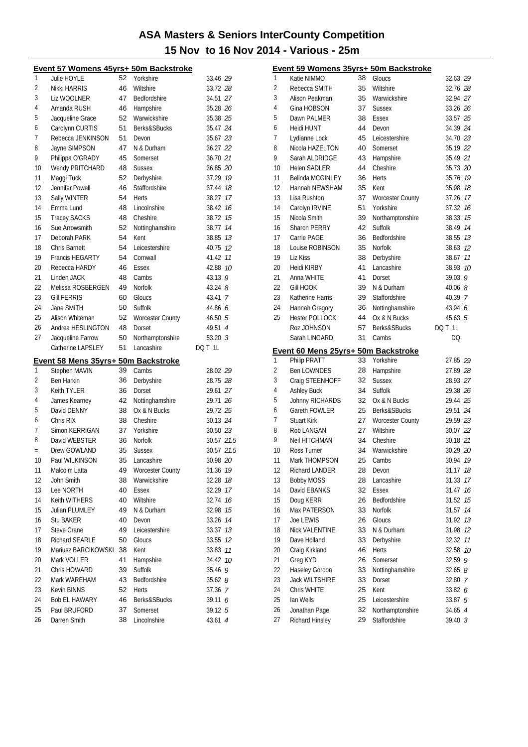|          | Event 57 Womens 45yrs+ 50m Backstroke |          |                          |                    |            |
|----------|---------------------------------------|----------|--------------------------|--------------------|------------|
| 1        | Julie HOYLE                           | 52       | Yorkshire                | 33.46 29           |            |
| 2        | Nikki HARRIS                          | 46       | Wiltshire                | 33.72 28           |            |
| 3        | Liz WOOLNER                           | 47       | Bedfordshire             | 34.51 27           |            |
| 4        | Amanda RUSH                           | 46       | Hampshire                | 35.28 26           |            |
| 5        | Jacqueline Grace                      | 52       | Warwickshire             | 35.38 25           |            |
| 6        | Carolynn CURTIS                       | 51       | Berks&SBucks             | 35.47 24           |            |
| 7        | Rebecca JENKINSON                     | 51       | Devon                    | 35.67 23           |            |
| 8        | Jayne SIMPSON                         | 47       | N & Durham               | 36.27 22           |            |
| 9        | Philippa O'GRADY                      | 45       | Somerset                 | 36.70 21           |            |
| 10       | Wendy PRITCHARD                       | 48       | <b>Sussex</b>            | 36.85 20           |            |
| 11       | Maggi Tuck                            | 52       | Derbyshire               | 37.29 19           |            |
| 12       | Jennifer Powell                       | 46       | Staffordshire            | 37.44              | 18         |
| 13       | Sally WINTER                          | 54       | <b>Herts</b>             | 38.27              | 17         |
| 14       | Emma Lund                             | 48       | Lincolnshire             | 38.42 16           |            |
| 15       | <b>Tracey SACKS</b>                   | 48       | Cheshire                 | 38.72 15           |            |
| 16       | Sue Arrowsmith                        | 52       | Nottinghamshire          | 38.77              | 14         |
| 17       | Deborah PARK                          | 54       | Kent                     | 38.85              | 13         |
| 18       | Chris Barnett                         | 54       | Leicestershire           | 40.75              | 12         |
| 19       | <b>Francis HEGARTY</b>                | 54       | Cornwall                 | 41.42              | 11         |
| 20       | Rebecca HARDY                         | 46       | Essex                    | 42.88 10           |            |
| 21       | Linden JACK                           | 48       | Cambs                    | 43.13 9            |            |
| 22       | Melissa ROSBERGEN                     | 49       | Norfolk                  | $43.24$ $8$        |            |
| 23       | Gill FERRIS                           | 60       | Gloucs                   | 43.41 7            |            |
| 24       | Jane SMITH                            | 50       | Suffolk                  | 44.86 6            |            |
| 25       | Alison Whiteman                       | 52       | <b>Worcester County</b>  | 46.50 5            |            |
| 26       | Andrea HESLINGTON                     | 48       | Dorset                   | 49.51 4            |            |
| 27       | Jacqueline Farrow                     | 50       | Northamptonshire         | 53.20 $3$          |            |
|          | Catherine LAPSLEY                     | 51       | Lancashire               | DQ T 1L            |            |
|          | Event 58 Mens 35yrs+ 50m Backstroke   |          |                          |                    |            |
| 1        | Stephen MAVIN                         | 39       | Cambs                    | 28.02 29           |            |
| 2        | <b>Ben Harkin</b>                     | 36       | Derbyshire               | 28.75 28           |            |
| 3        | <b>Keith TYLER</b>                    | 36       | Dorset                   | 29.61 27           |            |
| 4        | James Kearney                         | 42       | Nottinghamshire          | 29.71 26           |            |
| 5        | David DENNY                           | 38       | Ox & N Bucks             | 29.72 25           |            |
| 6        | Chris RIX                             | 38       | Cheshire                 | 30.13 24           |            |
| 7        | Simon KERRIGAN                        | 37       | Yorkshire                | 30.50 23           |            |
| 8        | David WEBSTER                         | 36       | <b>Norfolk</b>           |                    | 30.57 21.5 |
| $=$      | Drew GOWLAND                          |          |                          |                    |            |
| 10       |                                       |          |                          |                    |            |
| 11       |                                       | 35       | <b>Sussex</b>            | 30.57 21.5         |            |
|          | Paul WILKINSON                        | 35       | Lancashire               | 30.98 20           |            |
|          | Malcolm Latta                         | 49       | <b>Worcester County</b>  | 31.36              | 19         |
| 12       | John Smith                            | 38       | Warwickshire             | 32.28              | 18         |
| 13       | Lee NORTH                             | 40       | <b>Essex</b>             | 32.29              | 17         |
| 14       | Keith WITHERS                         | 40       | Wiltshire                | 32.74              | 16         |
| 15       | Julian PLUMLEY                        | 49       | N & Durham               | 32.98              | 15         |
| 16       | Stu BAKER                             | 40       | Devon                    | 33.26              | 14         |
| 17       | Steve Crane                           | 49       | Leicestershire           | 33.37 13           |            |
| 18       | Richard SEARLE                        | 50       | Gloucs                   | 33.55              | 12         |
| 19       | Mariusz BARCIKOWSKI                   | 38       | Kent                     | 33.83              | 11         |
| 20       | Mark VOLLER                           | 41       | Hampshire                | 34.42              | 10         |
| 21       | Chris HOWARD                          | 39       | Suffolk                  | 35.46 9            |            |
| 22       | Mark WAREHAM                          | 43       | Bedfordshire             | 35.628             |            |
| 23       | Kevin BINNS                           | 52       | <b>Herts</b>             | 37.36 7            |            |
| 24       | <b>Bob EL HAWARY</b>                  | 46       | Berks&SBucks             | 39.11 6            |            |
| 25<br>26 | Paul BRUFORD<br>Darren Smith          | 37<br>38 | Somerset<br>Lincolnshire | 39.12 5<br>43.61 4 |            |

|    | Event 59 Womens 35yrs+ 50m Backstroke |    |                         |           |    |
|----|---------------------------------------|----|-------------------------|-----------|----|
| 1  | Katie NIMMO                           | 38 | Gloucs                  | 32.63 29  |    |
| 2  | Rebecca SMITH                         | 35 | Wiltshire               | 32.76 28  |    |
| 3  | Alison Peakman                        | 35 | Warwickshire            | 32.94 27  |    |
| 4  | Gina HOBSON                           | 37 | <b>Sussex</b>           | 33.26 26  |    |
| 5  | Dawn PALMER                           | 38 | Essex                   | 33.57 25  |    |
| 6  | Heidi HUNT                            | 44 | Devon                   | 34.39 24  |    |
| 7  | Lydianne Lock                         | 45 | Leicestershire          | 34.70 23  |    |
| 8  | Nicola HAZELTON                       | 40 | Somerset                | 35.19 22  |    |
| 9  | Sarah ALDRIDGE                        | 43 | Hampshire               | 35.49 21  |    |
| 10 | <b>Helen SADLER</b>                   | 44 | Cheshire                | 35.73 20  |    |
| 11 | Belinda MCGINLEY                      | 36 | <b>Herts</b>            | 35.76 19  |    |
| 12 | Hannah NEWSHAM                        | 35 | Kent                    | 35.98 18  |    |
| 13 | Lisa Rushton                          | 37 | <b>Worcester County</b> | 37.26     | 17 |
| 14 | Carolyn IRVINE                        | 51 | Yorkshire               | 37.32     | 16 |
| 15 | Nicola Smith                          | 39 | Northamptonshire        | 38.33     | 15 |
| 16 | <b>Sharon PERRY</b>                   | 42 | Suffolk                 | 38.49 74  |    |
| 17 | Carrie PAGE                           | 36 | <b>Bedfordshire</b>     | 38.55 73  |    |
| 18 | Louise ROBINSON                       | 35 | <b>Norfolk</b>          | 38.63 12  |    |
| 19 | Liz Kiss                              | 38 | Derbyshire              | 38.67     | 11 |
| 20 | Heidi KIRBY                           | 41 | Lancashire              | 38.93 10  |    |
| 21 | Anna WHITE                            | 41 | Dorset                  | 39.03     | 9  |
| 22 | <b>Gill HOOK</b>                      | 39 | N & Durham              | 40.06 $8$ |    |
| 23 | Katherine Harris                      | 39 | Staffordshire           | 40.39 7   |    |
| 24 | Hannah Gregory                        | 36 | Nottinghamshire         | 43.94 6   |    |
| 25 | <b>Hester POLLOCK</b>                 | 44 | Ox & N Bucks            | 45.63 5   |    |
|    | Roz JOHNSON                           | 57 | Berks&SBucks            | DQ T 1L   |    |
|    | Sarah LINGARD                         | 31 | Cambs                   | DQ        |    |
|    | Event 60 Mens 25yrs+ 50m Backstroke   |    |                         |           |    |
| 1  | Philip PRATT                          | 33 | Yorkshire               | 27.85 29  |    |
| 2  | <b>Ben LOWNDES</b>                    | 28 | Hampshire               | 27.89 28  |    |
| 3  | Craig STEENHOFF                       | 32 | <b>Sussex</b>           | 28.93 27  |    |
| 4  | <b>Ashley Buck</b>                    | 34 | Suffolk                 | 29.38 26  |    |
| 5  | Johnny RICHARDS                       | 32 | Ox & N Bucks            | 29.44 25  |    |
| 6  | Gareth FOWLER                         | 25 | Berks&SBucks            | 29.51 24  |    |
| 7  | <b>Stuart Kirk</b>                    | 27 | <b>Worcester County</b> | 29.59 23  |    |
| 8  | Rob LANGAN                            | 27 | Wiltshire               | 30.07 22  |    |
| 9  | Neil HITCHMAN                         | 34 | Cheshire                | 30.18 21  |    |
| 10 | Ross Turner                           | 34 | Warwickshire            | 30.29 20  |    |
| 11 | Mark THOMPSON                         |    | 25 Cambs                | 30.94 19  |    |
| 12 | Richard LANDER                        | 28 | Devon                   | 31.17     | 18 |
| 13 | <b>Bobby MOSS</b>                     | 28 | Lancashire              | 31.33     | 17 |
| 14 | David EBANKS                          | 32 | Essex                   | 31.47     | 16 |
| 15 | Doug KERR                             | 26 | Bedfordshire            | 31.52     | 15 |
| 16 | Max PATERSON                          | 33 | Norfolk                 | 31.57     | 14 |
| 17 | Joe LEWIS                             | 26 | Gloucs                  | 31.92     | 13 |
| 18 | Nick VALENTINE                        | 33 | N & Durham              | 31.98     | 12 |
| 19 | Dave Holland                          | 33 | Derbyshire              | 32.32     | 11 |
| 20 | Craig Kirkland                        | 46 | Herts                   | 32.58     | 10 |
| 21 | Greg KYD                              | 26 | Somerset                | 32.59     | 9  |
| 22 | Haseley Gordon                        | 33 | Nottinghamshire         | 32.658    |    |
| 23 | <b>Jack WILTSHIRE</b>                 | 33 | Dorset                  | 32.80 7   |    |
| 24 | Chris WHITE                           | 25 | Kent                    | 33.82 6   |    |
| 25 | Ian Wells                             | 25 | Leicestershire          | 33.87 5   |    |
| 26 | Jonathan Page                         | 32 | Northamptonshire        | 34.65 4   |    |
|    |                                       |    |                         |           |    |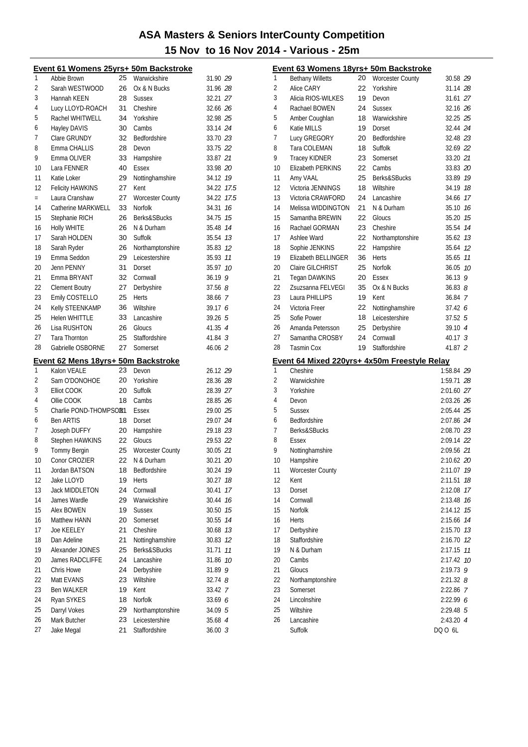|          | Event 61 Womens 25yrs+ 50m Backstroke |          |                         |                    | E                                |
|----------|---------------------------------------|----------|-------------------------|--------------------|----------------------------------|
| 1        | Abbie Brown                           | 25       | Warwickshire            | 31.90 29           | 1                                |
| 2        | Sarah WESTWOOD                        | 26       | Ox & N Bucks            | 31.96 28           | $\overline{c}$                   |
| 3        | Hannah KEEN                           | 28       | <b>Sussex</b>           | 32.21 27           | 3                                |
| 4        | Lucy LLOYD-ROACH                      | 31       | Cheshire                | 32.66 26           | 4                                |
| 5        | Rachel WHITWELL                       | 34       | Yorkshire               | 32.98 25           | 5                                |
| 6        | Hayley DAVIS                          | 30       | Cambs                   | 33.14 24           | 6                                |
| 7        | Clare GRUNDY                          | 32       | Bedfordshire            | 33.70 23           | 7                                |
| 8        | Emma CHALLIS                          | 28       | Devon                   | 33.75 22           | 8                                |
| 9        | Emma OLIVER                           | 33       | Hampshire               | 33.87 21           | 9                                |
| 10       | Lara FENNER                           | 40       | Essex                   | 33.98 20           | 1                                |
| 11       | Katie Loker                           | 29       | Nottinghamshire         | 34.12 19           | 1                                |
| 12       | Felicity HAWKINS                      | 27       | Kent                    | 34.22 17.5         | 1                                |
| $=$      | Laura Cranshaw                        | 27       | <b>Worcester County</b> | 34.22 17.5         | 1                                |
| 14       | Catherine MARKWELL                    | 33       | Norfolk                 | 34.31 76           | 1                                |
| 15       | Stephanie RICH                        | 26       | Berks&SBucks            | 34.75 15           | 1                                |
| 16       | Holly WHITE                           | 26       | N & Durham              | 35.48 74           | 1                                |
| 17       | Sarah HOLDEN                          | 30       | Suffolk                 | 35.54 73           | 1                                |
| 18       | Sarah Ryder                           | 26       | Northamptonshire        | 35.83 12           | 1                                |
| 19       | Emma Seddon                           | 29       | Leicestershire          | 35.93 11           | 1                                |
| 20       | Jenn PENNY                            | 31       | Dorset                  | 35.97 10           | 2                                |
| 21       | Emma BRYANT                           | 32       | Cornwall                | 36.199             | $\overline{2}$                   |
| 22       | <b>Clement Boutry</b>                 | 27       | Derbyshire              | 37.568             | $\overline{2}$                   |
| 23       | Emily COSTELLO                        | 25       | Herts                   | 38.66 7            | $\overline{2}$                   |
| 24       | Kelly STEENKAMP                       | 36       | Wiltshire               | 39.17 6            | 2                                |
| 25       | <b>Helen WHITTLE</b>                  | 33       | Lancashire              | 39.26 5            | 2                                |
| 26       | Lisa RUSHTON                          | 26       | Gloucs                  | 41.35 4            | 2                                |
| 27       | Tara Thornton                         | 25       | Staffordshire           | $41.84 \t3$        | 2                                |
| 28       | Gabrielle OSBORNE                     | 27       | Somerset                | 46.06 2            | $\overline{2}$                   |
|          |                                       |          |                         |                    |                                  |
|          | Event 62 Mens 18yrs+ 50m Backstroke   |          |                         |                    | E                                |
| 1        | Kalon VEALE                           | 23       | Devon                   | 26.12 29           | 1                                |
| 2        | Sam O'DONOHOE                         | 20       | Yorkshire               | 28.36 28           | $\overline{c}$                   |
| 3        | Elliot COOK                           | 20       | Suffolk                 | 28.39 27           | 3                                |
| 4        | Ollie COOK                            | 18       | Cambs                   | 28.85 26           | 4                                |
| 5        | Charlie POND-THOMPSOR1                |          | <b>Essex</b>            | 29.00 25           | 5                                |
| 6        | <b>Ben ARTIS</b>                      | 18       | Dorset                  | 29.07 24           | 6                                |
| 7        | Joseph DUFFY                          | 20       | Hampshire               | 29.18 23           | 7                                |
| 8        | Stephen HAWKINS                       | 22       | Gloucs                  | 29.53 22           | 8                                |
| 9        | Tommy Bergin                          | 25       | <b>Worcester County</b> | 30.05 21           | 9                                |
| 10       | Conor CROZIER                         | 22       | N & Durham              | 30.21 20           | 1                                |
| 11       | Jordan BATSON                         | 18       | Bedfordshire            | 30.24 19           | 1                                |
| 12       | Jake LLOYD                            | 19       | Herts                   | 30.27 18           | 1                                |
| 13       | <b>Jack MIDDLETON</b>                 | 24       | Cornwall                | 30.41 17           | 1                                |
| 14       | James Wardle                          | 29       | Warwickshire            | 30.44 76           | 1                                |
| 15       | Alex BOWEN                            | 19       | <b>Sussex</b>           | 30.50 75           | 1                                |
| 16       | Matthew HANN                          | 20       | Somerset                | 30.55 74           | 1                                |
| 17       | Joe KEELEY                            | 21       | Cheshire                | 30.68 73           | 1                                |
| 18       | Dan Adeline                           | 21       | Nottinghamshire         | 30.83 12           | 1                                |
| 19       | Alexander JOINES<br>James RADCLIFFE   | 25       | Berks&SBucks            | 31.71 11           | 1                                |
| 20<br>21 | Chris Howe                            | 24<br>24 | Lancashire              | 31.86 10           | $\overline{2}$<br>$\overline{2}$ |
| 22       | Matt EVANS                            | 23       | Derbyshire<br>Wiltshire | 31.89 9<br>32.748  | 2                                |
| 23       | <b>Ben WALKER</b>                     | 19       | Kent                    |                    | 2                                |
| 24       | Ryan SYKES                            | 18       | Norfolk                 | 33.42 7<br>33.69 6 | 2                                |
| 25       | Darryl Vokes                          | 29       | Northamptonshire        | 34.09 5            | 2                                |
| 26       | Mark Butcher                          | 23       | Leicestershire          | 35.68 4            | 2                                |
| 27       | Jake Megal                            | 21       | Staffordshire           | 36.003             |                                  |

|    | <u>Event 63 Womens 18yrs+ 50m Backstroke</u>             |    |                         |               |    |
|----|----------------------------------------------------------|----|-------------------------|---------------|----|
| 1  | <b>Bethany Willetts</b>                                  | 20 | <b>Worcester County</b> | 30.58 29      |    |
| 2  | Alice CARY                                               | 22 | Yorkshire               | 31.14 28      |    |
| 3  | Alicia RIOS-WILKES                                       | 19 | Devon                   | 31.61 27      |    |
| 4  | Rachael BOWEN                                            | 24 | <b>Sussex</b>           | 32.16 26      |    |
| 5  | Amber Coughlan                                           | 18 | Warwickshire            | 32.25 25      |    |
| 6  | Katie MILLS                                              | 19 | Dorset                  | 32.44 24      |    |
| 7  | Lucy GREGORY                                             | 20 | Bedfordshire            | 32.48 23      |    |
| 8  | Tara COLEMAN                                             | 18 | Suffolk                 | 32.69 22      |    |
| 9  | <b>Tracey KIDNER</b>                                     | 23 | Somerset                | 33.20 21      |    |
| 10 | Elizabeth PERKINS                                        | 22 | Cambs                   | 33.83 20      |    |
| 11 | Amy VAAL                                                 | 25 | Berks&SBucks            | 33.89         | 19 |
| 12 | Victoria JENNINGS                                        | 18 | Wiltshire               | 34.19         | 18 |
| 13 | Victoria CRAWFORD                                        | 24 | Lancashire              | 34.66         | 17 |
| 14 | Melissa WIDDINGTON                                       | 21 | N & Durham              | 35.10         | 16 |
| 15 | Samantha BREWIN                                          | 22 | Gloucs                  | 35.20         | 15 |
| 16 | Rachael GORMAN                                           | 23 | Cheshire                | 35.54         | 14 |
| 17 | Ashlee Ward                                              | 22 | Northamptonshire        | 35.62         | 13 |
| 18 | Sophie JENKINS                                           | 22 | Hampshire               | 35.64         | 12 |
| 19 | Elizabeth BELLINGER                                      | 36 | Herts                   | 35.65         | 11 |
| 20 | Claire GILCHRIST                                         | 25 | <b>Norfolk</b>          | 36.05         | 10 |
| 21 | Tegan DAWKINS                                            | 20 | Essex                   | $36.13$ 9     |    |
| 22 | Zsuzsanna FELVEGI                                        | 35 | Ox & N Bucks            | $36.83$ $8$   |    |
| 23 | Laura PHILLIPS                                           | 19 | Kent                    | 36.84 7       |    |
| 24 | Victoria Freer                                           | 22 | Nottinghamshire         | 37.42 6       |    |
| 25 | Sofie Power                                              | 18 | Leicestershire          | 37.525        |    |
| 26 | Amanda Petersson                                         | 25 | Derbyshire              | 39.10 4       |    |
| 27 | Samantha CROSBY                                          | 24 | Cornwall                | $40.17 \t3$   |    |
| 28 | <b>Tasmin Cox</b>                                        | 19 | Staffordshire           | 41.87 2       |    |
|    |                                                          |    |                         |               |    |
|    |                                                          |    |                         |               |    |
| 1  | Event 64 Mixed 220yrs+ 4x50m Freestyle Relay<br>Cheshire |    |                         | 1:58.84 29    |    |
| 2  | Warwickshire                                             |    |                         | 1:59.71 28    |    |
| 3  | Yorkshire                                                |    |                         | 2:01.60 27    |    |
| 4  | Devon                                                    |    |                         | 2:03.26 26    |    |
| 5  | <b>Sussex</b>                                            |    |                         | 2:05.44 25    |    |
| 6  | Bedfordshire                                             |    |                         | 2:07.86 24    |    |
| 7  | Berks&SBucks                                             |    |                         | 2:08.70 23    |    |
| 8  | Essex                                                    |    |                         | 2:09.14 22    |    |
| 9  | Nottinghamshire                                          |    |                         | 2:09.56 21    |    |
| 10 | Hampshire                                                |    |                         | 2:10.62 20    |    |
| 11 | <b>Worcester County</b>                                  |    |                         | 2:11.07       | 19 |
| 12 | Kent                                                     |    |                         | 2:11.51       | 18 |
| 13 | Dorset                                                   |    |                         | 2:12.08       | 17 |
| 14 | Cornwall                                                 |    |                         | 2:13.48       | 16 |
| 15 | <b>Norfolk</b>                                           |    |                         | 2:14.12       | 15 |
| 16 | <b>Herts</b>                                             |    |                         | 2:15.66       | 14 |
| 17 | Derbyshire                                               |    |                         | 2:15.70       | 13 |
| 18 | Staffordshire                                            |    |                         | 2:16.70       | 12 |
| 19 | N & Durham                                               |    |                         | 2:17.15       | 11 |
| 20 | Cambs                                                    |    |                         | 2:17.42       | 10 |
| 21 | Gloucs                                                   |    |                         | 2:19.73       | 9  |
| 22 | Northamptonshire                                         |    |                         | $2:21.32$ $8$ |    |
| 23 | Somerset                                                 |    |                         | 2:22.86 7     |    |
| 24 | Lincolnshire                                             |    |                         | 2:22.99 6     |    |
| 25 | Wiltshire                                                |    |                         | 2:29.48 5     |    |
| 26 | Lancashire                                               |    |                         | 2:43.20 4     |    |